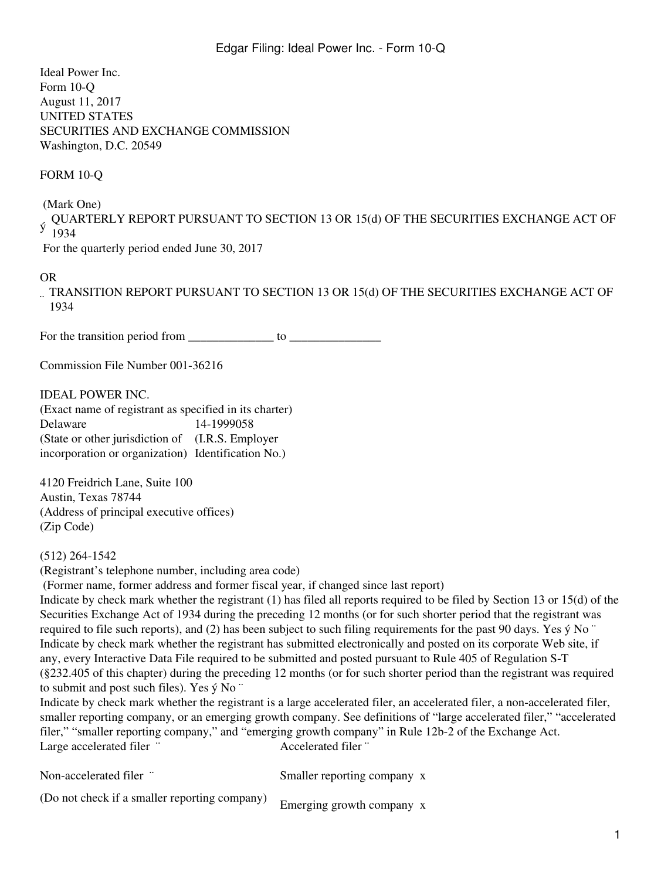Ideal Power Inc. Form 10-Q August 11, 2017 UNITED STATES SECURITIES AND EXCHANGE COMMISSION Washington, D.C. 20549

FORM 10-Q

(Mark One)

QUARTERLY REPORT PURSUANT TO SECTION 13 OR 15(d) OF THE SECURITIES EXCHANGE ACT OF 1934

For the quarterly period ended June 30, 2017

#### OR

¨ TRANSITION REPORT PURSUANT TO SECTION 13 OR 15(d) OF THE SECURITIES EXCHANGE ACT OF 1934

For the transition period from \_\_\_\_\_\_\_\_\_\_\_\_\_\_\_\_\_\_\_\_\_ to

Commission File Number 001-36216

IDEAL POWER INC.

(Exact name of registrant as specified in its charter) Delaware 14-1999058 (State or other jurisdiction of (I.R.S. Employer incorporation or organization) Identification No.)

4120 Freidrich Lane, Suite 100 Austin, Texas 78744 (Address of principal executive offices) (Zip Code)

(512) 264-1542

(Registrant's telephone number, including area code)

(Former name, former address and former fiscal year, if changed since last report)

Indicate by check mark whether the registrant (1) has filed all reports required to be filed by Section 13 or 15(d) of the Securities Exchange Act of 1934 during the preceding 12 months (or for such shorter period that the registrant was required to file such reports), and (2) has been subject to such filing requirements for the past 90 days. Yes  $\acute{y}$  No  $\degree$ Indicate by check mark whether the registrant has submitted electronically and posted on its corporate Web site, if any, every Interactive Data File required to be submitted and posted pursuant to Rule 405 of Regulation S-T (§232.405 of this chapter) during the preceding 12 months (or for such shorter period than the registrant was required to submit and post such files). Yes ý No ¨

Indicate by check mark whether the registrant is a large accelerated filer, an accelerated filer, a non-accelerated filer, smaller reporting company, or an emerging growth company. See definitions of "large accelerated filer," "accelerated filer," "smaller reporting company," and "emerging growth company" in Rule 12b-2 of the Exchange Act. Large accelerated filer ¨ Accelerated filer ¨

| Non-accelerated filer "                       | Smaller reporting company x |
|-----------------------------------------------|-----------------------------|
| (Do not check if a smaller reporting company) | Emerging growth company x   |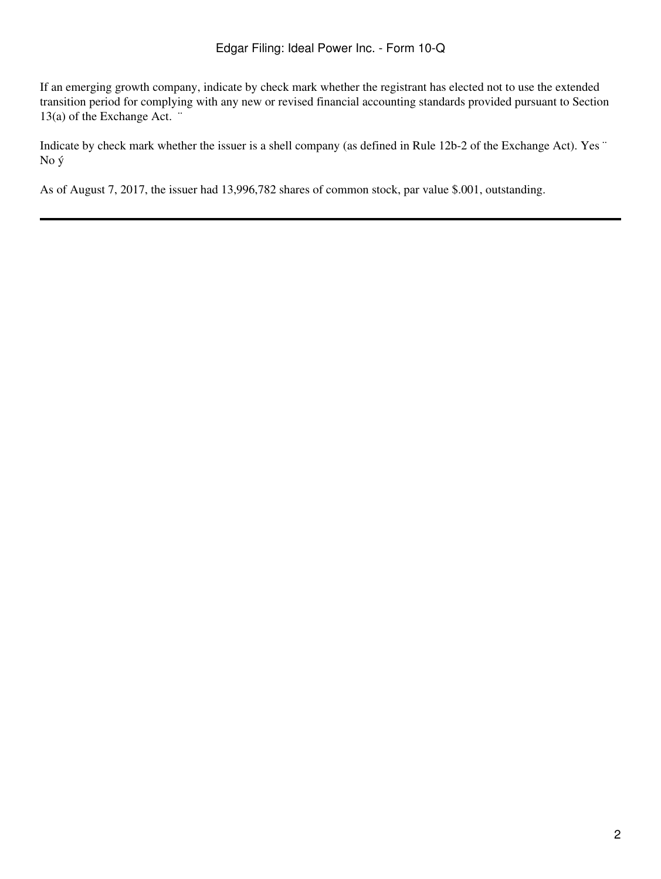If an emerging growth company, indicate by check mark whether the registrant has elected not to use the extended transition period for complying with any new or revised financial accounting standards provided pursuant to Section 13(a) of the Exchange Act. ¨

Indicate by check mark whether the issuer is a shell company (as defined in Rule 12b-2 of the Exchange Act). Yes ¨ No ý

As of August 7, 2017, the issuer had 13,996,782 shares of common stock, par value \$.001, outstanding.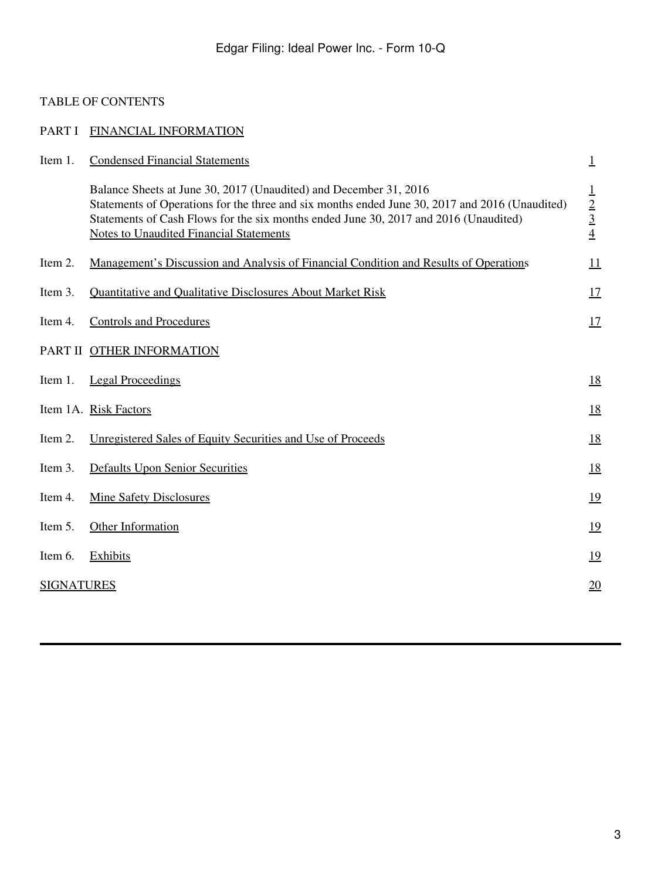# <span id="page-2-0"></span>TABLE OF CONTENTS

| PART I            | FINANCIAL INFORMATION                                                                                                                                                                                                                                                                                         |                             |
|-------------------|---------------------------------------------------------------------------------------------------------------------------------------------------------------------------------------------------------------------------------------------------------------------------------------------------------------|-----------------------------|
| Item 1.           | <b>Condensed Financial Statements</b>                                                                                                                                                                                                                                                                         | $\overline{1}$              |
|                   | Balance Sheets at June 30, 2017 (Unaudited) and December 31, 2016<br>Statements of Operations for the three and six months ended June 30, 2017 and 2016 (Unaudited)<br>Statements of Cash Flows for the six months ended June 30, 2017 and 2016 (Unaudited)<br><b>Notes to Unaudited Financial Statements</b> | $\frac{1}{2}$ $\frac{3}{4}$ |
| Item 2.           | Management's Discussion and Analysis of Financial Condition and Results of Operations                                                                                                                                                                                                                         | 11                          |
| Item 3.           | Quantitative and Qualitative Disclosures About Market Risk                                                                                                                                                                                                                                                    | 17                          |
| Item 4.           | <b>Controls and Procedures</b>                                                                                                                                                                                                                                                                                | 17                          |
|                   | PART II OTHER INFORMATION                                                                                                                                                                                                                                                                                     |                             |
| Item 1.           | <b>Legal Proceedings</b>                                                                                                                                                                                                                                                                                      | <u>18</u>                   |
|                   | Item 1A. Risk Factors                                                                                                                                                                                                                                                                                         | <u>18</u>                   |
| Item 2.           | Unregistered Sales of Equity Securities and Use of Proceeds                                                                                                                                                                                                                                                   | 18                          |
| Item 3.           | <b>Defaults Upon Senior Securities</b>                                                                                                                                                                                                                                                                        | <u>18</u>                   |
| Item 4.           | <b>Mine Safety Disclosures</b>                                                                                                                                                                                                                                                                                | <u>19</u>                   |
| Item 5.           | Other Information                                                                                                                                                                                                                                                                                             | <u>19</u>                   |
| Item 6.           | Exhibits                                                                                                                                                                                                                                                                                                      | 19                          |
| <b>SIGNATURES</b> |                                                                                                                                                                                                                                                                                                               | 20                          |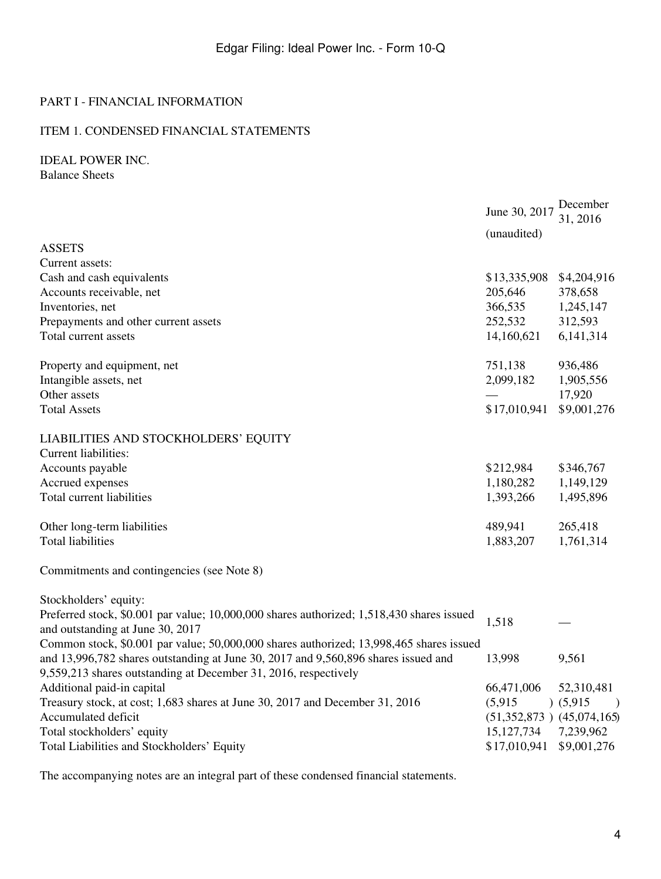### PART I - FINANCIAL INFORMATION

### <span id="page-3-0"></span>ITEM 1. CONDENSED FINANCIAL STATEMENTS

<span id="page-3-1"></span>IDEAL POWER INC. Balance Sheets

|                                                                                           | June 30, 2017                 | December<br>31, 2016     |
|-------------------------------------------------------------------------------------------|-------------------------------|--------------------------|
|                                                                                           | (unaudited)                   |                          |
| <b>ASSETS</b>                                                                             |                               |                          |
| Current assets:                                                                           |                               |                          |
| Cash and cash equivalents                                                                 | \$13,335,908                  | \$4,204,916              |
| Accounts receivable, net                                                                  | 205,646                       | 378,658                  |
| Inventories, net                                                                          | 366,535                       | 1,245,147                |
| Prepayments and other current assets                                                      | 252,532                       | 312,593                  |
| Total current assets                                                                      | 14,160,621                    | 6,141,314                |
| Property and equipment, net                                                               | 751,138                       | 936,486                  |
| Intangible assets, net                                                                    | 2,099,182                     | 1,905,556                |
| Other assets                                                                              |                               | 17,920                   |
| <b>Total Assets</b>                                                                       | \$17,010,941                  | \$9,001,276              |
| LIABILITIES AND STOCKHOLDERS' EQUITY                                                      |                               |                          |
| Current liabilities:                                                                      |                               |                          |
| Accounts payable                                                                          | \$212,984                     | \$346,767                |
| Accrued expenses                                                                          | 1,180,282                     | 1,149,129                |
| Total current liabilities                                                                 | 1,393,266                     | 1,495,896                |
| Other long-term liabilities                                                               | 489,941                       | 265,418                  |
| <b>Total liabilities</b>                                                                  | 1,883,207                     | 1,761,314                |
| Commitments and contingencies (see Note 8)                                                |                               |                          |
| Stockholders' equity:                                                                     |                               |                          |
| Preferred stock, \$0.001 par value; 10,000,000 shares authorized; 1,518,430 shares issued | 1,518                         |                          |
| and outstanding at June 30, 2017                                                          |                               |                          |
| Common stock, \$0.001 par value; 50,000,000 shares authorized; 13,998,465 shares issued   |                               |                          |
| and 13,996,782 shares outstanding at June 30, 2017 and 9,560,896 shares issued and        | 13,998                        | 9,561                    |
| 9,559,213 shares outstanding at December 31, 2016, respectively                           |                               |                          |
| Additional paid-in capital                                                                | 66,471,006                    | 52,310,481               |
| Treasury stock, at cost; 1,683 shares at June 30, 2017 and December 31, 2016              | (5,915)                       | (5,915)<br>$\rightarrow$ |
| Accumulated deficit                                                                       | $(51,352,873)$ $(45,074,165)$ |                          |
| Total stockholders' equity                                                                | 15, 127, 734                  | 7,239,962                |
| Total Liabilities and Stockholders' Equity                                                | \$17,010,941                  | \$9,001,276              |

The accompanying notes are an integral part of these condensed financial statements.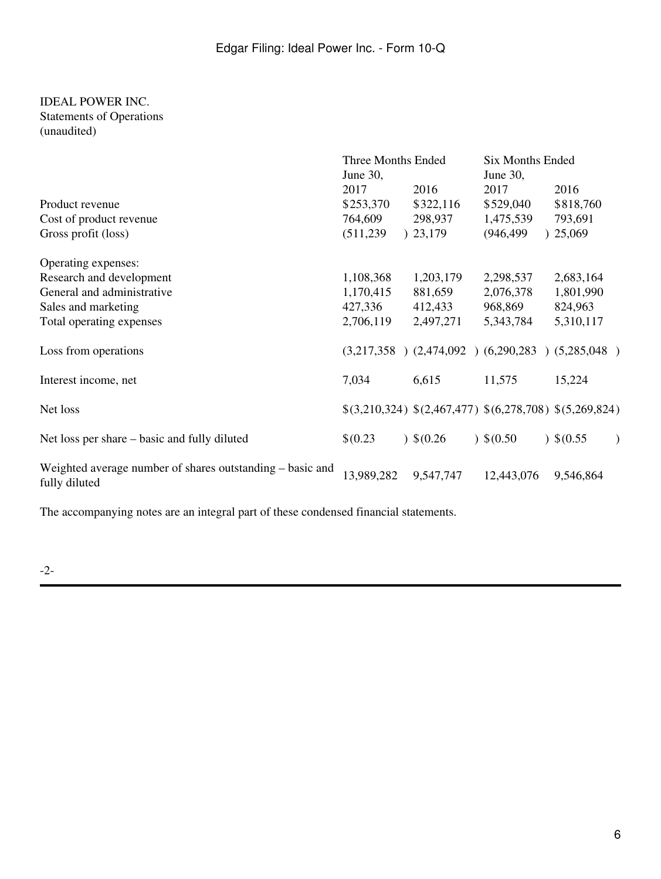#### <span id="page-5-0"></span>IDEAL POWER INC. Statements of Operations (unaudited)

|                                                                            | Three Months Ended<br>June 30,             |                                                         | Six Months Ended<br>June 30,                 |                                        |
|----------------------------------------------------------------------------|--------------------------------------------|---------------------------------------------------------|----------------------------------------------|----------------------------------------|
| Product revenue<br>Cost of product revenue<br>Gross profit (loss)          | 2017<br>\$253,370<br>764,609<br>(511, 239) | 2016<br>\$322,116<br>298,937<br>23,179                  | 2017<br>\$529,040<br>1,475,539<br>(946, 499) | 2016<br>\$818,760<br>793,691<br>25,069 |
| Operating expenses:                                                        |                                            |                                                         |                                              |                                        |
| Research and development                                                   | 1,108,368                                  | 1,203,179                                               | 2,298,537                                    | 2,683,164                              |
| General and administrative                                                 | 1,170,415                                  | 881,659                                                 | 2,076,378                                    | 1,801,990                              |
| Sales and marketing                                                        | 427,336                                    | 412,433                                                 | 968,869                                      | 824,963                                |
| Total operating expenses                                                   | 2,706,119                                  | 2,497,271                                               | 5,343,784                                    | 5,310,117                              |
| Loss from operations                                                       |                                            | $(3,217,358)$ $(2,474,092)$ $(6,290,283)$ $(5,285,048)$ |                                              |                                        |
| Interest income, net                                                       | 7,034                                      | 6,615                                                   | 11,575                                       | 15,224                                 |
| Net loss                                                                   |                                            | $$(3,210,324) $(2,467,477) $(6,278,708) $(5,269,824)$   |                                              |                                        |
| Net loss per share – basic and fully diluted                               | \$(0.23)                                   | $)$ \$(0.26)                                            | $)$ \$(0.50                                  | $)$ \$(0.55)                           |
| Weighted average number of shares outstanding – basic and<br>fully diluted | 13,989,282                                 | 9,547,747                                               | 12,443,076                                   | 9,546,864                              |

The accompanying notes are an integral part of these condensed financial statements.

-2-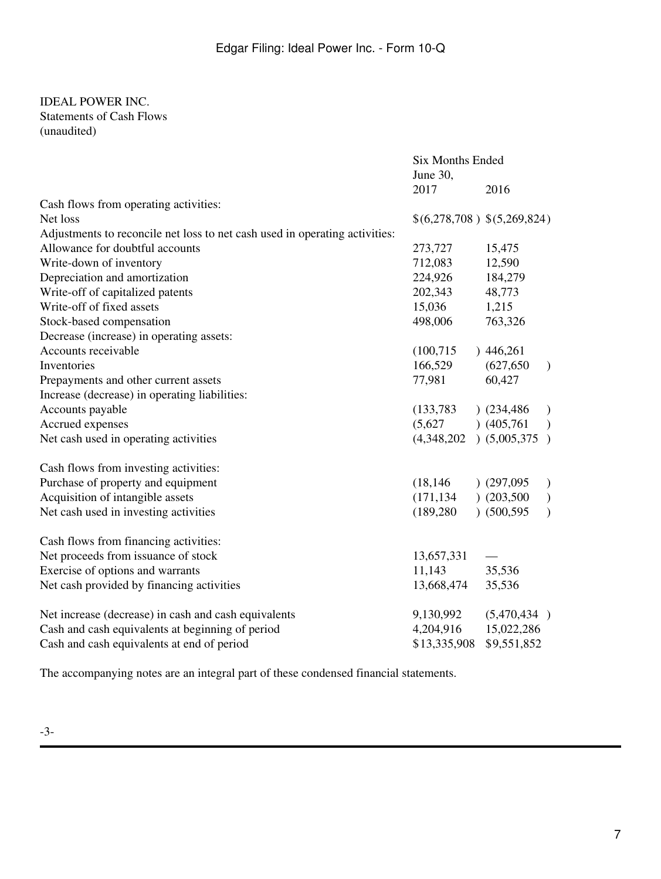#### <span id="page-6-0"></span>IDEAL POWER INC. Statements of Cash Flows (unaudited)

|                                                                             | Six Months Ended            |               |               |
|-----------------------------------------------------------------------------|-----------------------------|---------------|---------------|
|                                                                             | June 30,                    |               |               |
|                                                                             | 2017                        | 2016          |               |
| Cash flows from operating activities:                                       |                             |               |               |
| Net loss                                                                    | \$(6,278,708) \$(5,269,824) |               |               |
| Adjustments to reconcile net loss to net cash used in operating activities: |                             |               |               |
| Allowance for doubtful accounts                                             | 273,727                     | 15,475        |               |
| Write-down of inventory                                                     | 712,083                     | 12,590        |               |
| Depreciation and amortization                                               | 224,926                     | 184,279       |               |
| Write-off of capitalized patents                                            | 202,343                     | 48,773        |               |
| Write-off of fixed assets                                                   | 15,036                      | 1,215         |               |
| Stock-based compensation                                                    | 498,006                     | 763,326       |               |
| Decrease (increase) in operating assets:                                    |                             |               |               |
| Accounts receivable                                                         | (100, 715)                  | )446,261      |               |
| Inventories                                                                 | 166,529                     | (627, 650)    | $\mathcal{L}$ |
| Prepayments and other current assets                                        | 77,981                      | 60,427        |               |
| Increase (decrease) in operating liabilities:                               |                             |               |               |
| Accounts payable                                                            | (133, 783)                  | $)$ (234,486) | $\mathcal{L}$ |
| Accrued expenses                                                            | (5,627)                     | (405,761)     | $\mathcal{L}$ |
| Net cash used in operating activities                                       | $(4,348,202)$ $(5,005,375)$ |               |               |
| Cash flows from investing activities:                                       |                             |               |               |
| Purchase of property and equipment                                          | (18, 146)                   | (297,095)     | $\mathcal{L}$ |
| Acquisition of intangible assets                                            | (171, 134)                  | (203,500)     | $\mathcal{L}$ |
| Net cash used in investing activities                                       | (189, 280)                  | (500, 595)    | $\mathcal{L}$ |
| Cash flows from financing activities:                                       |                             |               |               |
| Net proceeds from issuance of stock                                         | 13,657,331                  |               |               |
| Exercise of options and warrants                                            | 11,143                      | 35,536        |               |
| Net cash provided by financing activities                                   | 13,668,474                  | 35,536        |               |
| Net increase (decrease) in cash and cash equivalents                        | 9,130,992                   | (5,470,434)   |               |
| Cash and cash equivalents at beginning of period                            | 4,204,916                   | 15,022,286    |               |
| Cash and cash equivalents at end of period                                  | \$13,335,908                | \$9,551,852   |               |

The accompanying notes are an integral part of these condensed financial statements.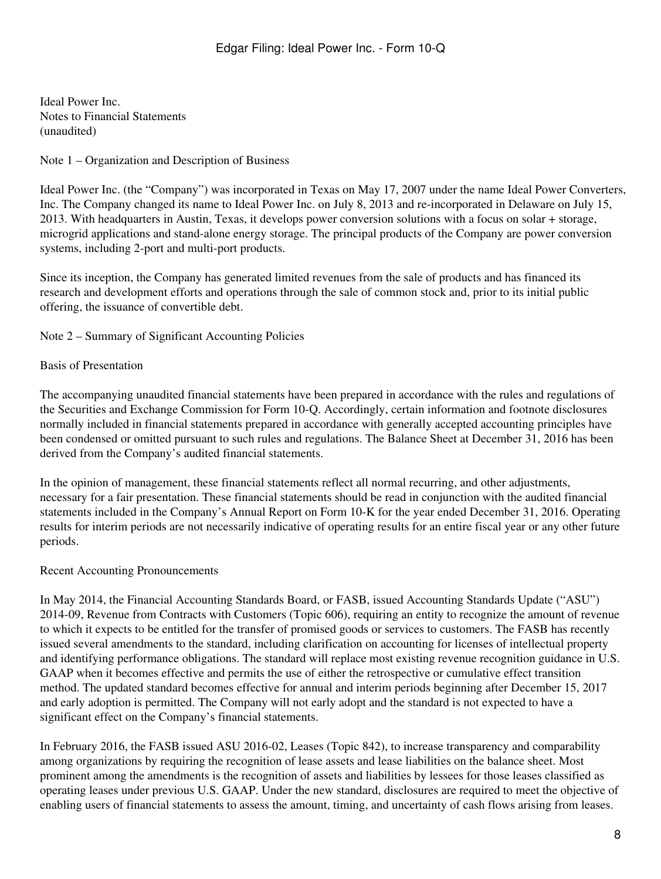<span id="page-7-0"></span>Ideal Power Inc. Notes to Financial Statements (unaudited)

#### Note 1 – Organization and Description of Business

Ideal Power Inc. (the "Company") was incorporated in Texas on May 17, 2007 under the name Ideal Power Converters, Inc. The Company changed its name to Ideal Power Inc. on July 8, 2013 and re-incorporated in Delaware on July 15, 2013. With headquarters in Austin, Texas, it develops power conversion solutions with a focus on solar + storage, microgrid applications and stand-alone energy storage. The principal products of the Company are power conversion systems, including 2-port and multi-port products.

Since its inception, the Company has generated limited revenues from the sale of products and has financed its research and development efforts and operations through the sale of common stock and, prior to its initial public offering, the issuance of convertible debt.

Note 2 – Summary of Significant Accounting Policies

#### Basis of Presentation

The accompanying unaudited financial statements have been prepared in accordance with the rules and regulations of the Securities and Exchange Commission for Form 10-Q. Accordingly, certain information and footnote disclosures normally included in financial statements prepared in accordance with generally accepted accounting principles have been condensed or omitted pursuant to such rules and regulations. The Balance Sheet at December 31, 2016 has been derived from the Company's audited financial statements.

In the opinion of management, these financial statements reflect all normal recurring, and other adjustments, necessary for a fair presentation. These financial statements should be read in conjunction with the audited financial statements included in the Company's Annual Report on Form 10-K for the year ended December 31, 2016. Operating results for interim periods are not necessarily indicative of operating results for an entire fiscal year or any other future periods.

#### Recent Accounting Pronouncements

In May 2014, the Financial Accounting Standards Board, or FASB, issued Accounting Standards Update ("ASU") 2014-09, Revenue from Contracts with Customers (Topic 606), requiring an entity to recognize the amount of revenue to which it expects to be entitled for the transfer of promised goods or services to customers. The FASB has recently issued several amendments to the standard, including clarification on accounting for licenses of intellectual property and identifying performance obligations. The standard will replace most existing revenue recognition guidance in U.S. GAAP when it becomes effective and permits the use of either the retrospective or cumulative effect transition method. The updated standard becomes effective for annual and interim periods beginning after December 15, 2017 and early adoption is permitted. The Company will not early adopt and the standard is not expected to have a significant effect on the Company's financial statements.

In February 2016, the FASB issued ASU 2016-02, Leases (Topic 842), to increase transparency and comparability among organizations by requiring the recognition of lease assets and lease liabilities on the balance sheet. Most prominent among the amendments is the recognition of assets and liabilities by lessees for those leases classified as operating leases under previous U.S. GAAP. Under the new standard, disclosures are required to meet the objective of enabling users of financial statements to assess the amount, timing, and uncertainty of cash flows arising from leases.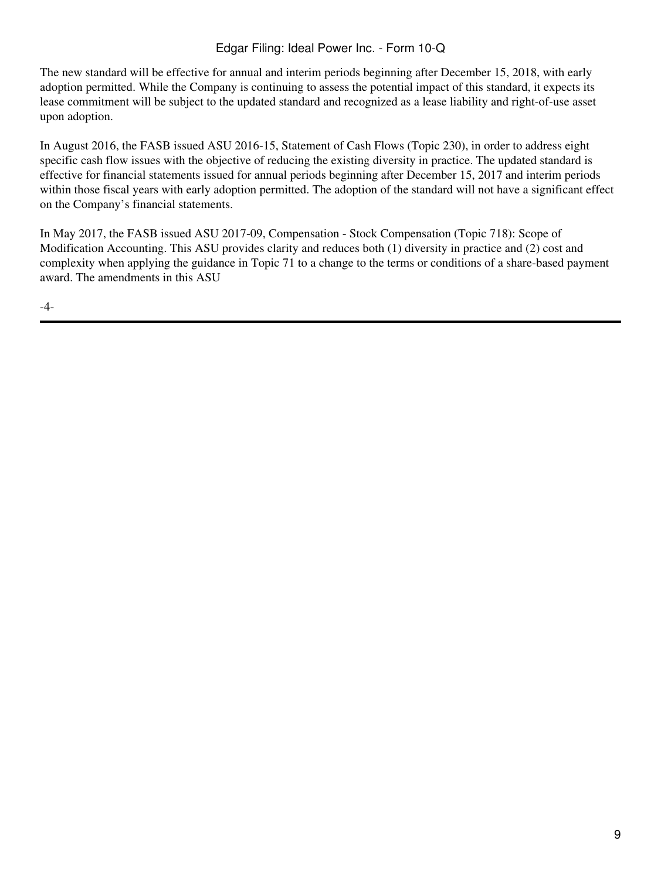# Edgar Filing: Ideal Power Inc. - Form 10-Q

The new standard will be effective for annual and interim periods beginning after December 15, 2018, with early adoption permitted. While the Company is continuing to assess the potential impact of this standard, it expects its lease commitment will be subject to the updated standard and recognized as a lease liability and right-of-use asset upon adoption.

In August 2016, the FASB issued ASU 2016-15, Statement of Cash Flows (Topic 230), in order to address eight specific cash flow issues with the objective of reducing the existing diversity in practice. The updated standard is effective for financial statements issued for annual periods beginning after December 15, 2017 and interim periods within those fiscal years with early adoption permitted. The adoption of the standard will not have a significant effect on the Company's financial statements.

In May 2017, the FASB issued ASU 2017-09, Compensation - Stock Compensation (Topic 718): Scope of Modification Accounting. This ASU provides clarity and reduces both (1) diversity in practice and (2) cost and complexity when applying the guidance in Topic 71 to a change to the terms or conditions of a share-based payment award. The amendments in this ASU

-4-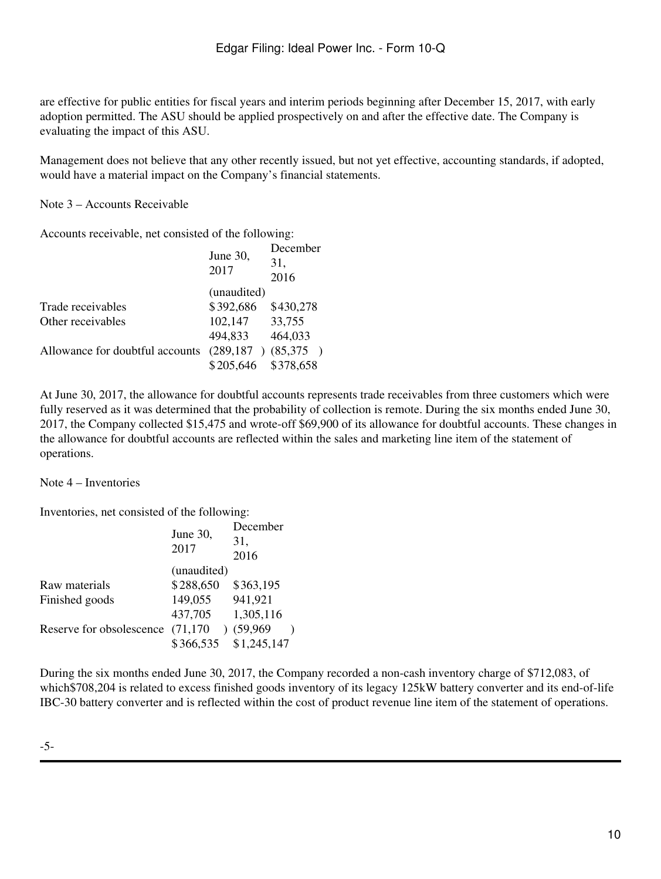are effective for public entities for fiscal years and interim periods beginning after December 15, 2017, with early adoption permitted. The ASU should be applied prospectively on and after the effective date. The Company is evaluating the impact of this ASU.

Management does not believe that any other recently issued, but not yet effective, accounting standards, if adopted, would have a material impact on the Company's financial statements.

Note 3 – Accounts Receivable

Accounts receivable, net consisted of the following:

| June $30$ ,<br>2017 | December<br>31,<br>2016 |
|---------------------|-------------------------|
| (unaudited)         |                         |
| \$392,686           | \$430,278               |
| 102,147             | 33,755                  |
| 494,833             | 464,033                 |
| (289, 187)          | (85,375)                |
| \$205,646           | \$378,658               |
|                     |                         |

At June 30, 2017, the allowance for doubtful accounts represents trade receivables from three customers which were fully reserved as it was determined that the probability of collection is remote. During the six months ended June 30, 2017, the Company collected \$15,475 and wrote-off \$69,900 of its allowance for doubtful accounts. These changes in the allowance for doubtful accounts are reflected within the sales and marketing line item of the statement of operations.

Note 4 – Inventories

Inventories, net consisted of the following:

|                          | June 30,<br>2017       | December<br>31,<br>2016 |
|--------------------------|------------------------|-------------------------|
|                          | (unaudited)            |                         |
| Raw materials            | \$288,650              | \$363,195               |
| Finished goods           | 149,055                | 941,921                 |
|                          | 437,705                | 1,305,116               |
| Reserve for obsolescence | (71, 170)<br>$\lambda$ | (59,969)                |
|                          | \$366,535              | \$1,245,147             |

During the six months ended June 30, 2017, the Company recorded a non-cash inventory charge of \$712,083, of which\$708,204 is related to excess finished goods inventory of its legacy 125kW battery converter and its end-of-life IBC-30 battery converter and is reflected within the cost of product revenue line item of the statement of operations.

-5-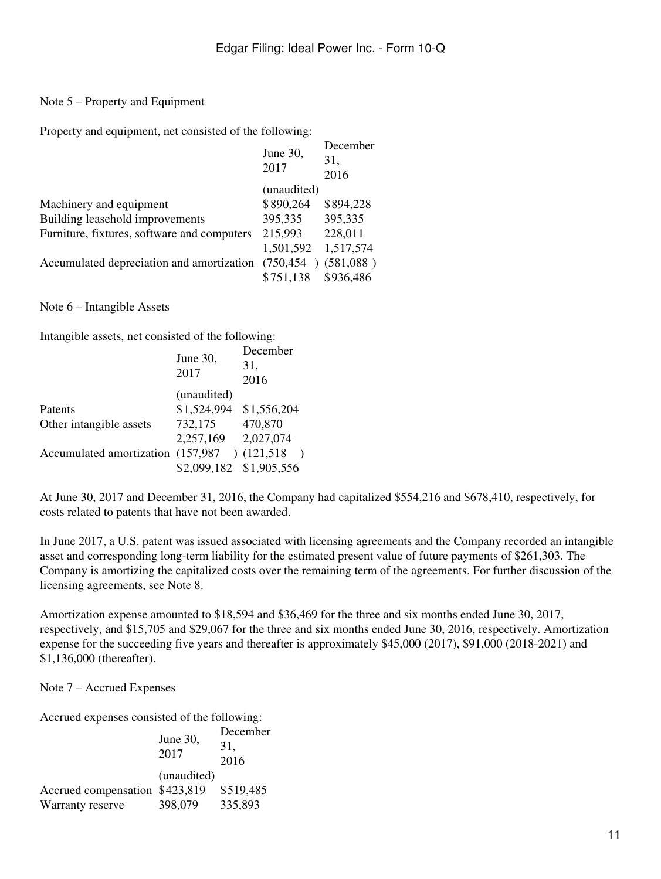## Note 5 – Property and Equipment

Property and equipment, net consisted of the following:

|                                             | June 30,<br>2017 | December<br>31,<br>2016 |
|---------------------------------------------|------------------|-------------------------|
|                                             | (unaudited)      |                         |
| Machinery and equipment                     | \$890,264        | \$894,228               |
| Building leasehold improvements             | 395,335          | 395,335                 |
| Furniture, fixtures, software and computers | 215,993          | 228,011                 |
|                                             | 1,501,592        | 1,517,574               |
| Accumulated depreciation and amortization   | (750, 454)       | (581,088)               |
|                                             | \$751,138        | \$936,486               |

Note 6 – Intangible Assets

Intangible assets, net consisted of the following:

|                                   | June 30,<br>2017        | December<br>31,<br>2016 |
|-----------------------------------|-------------------------|-------------------------|
|                                   | (unaudited)             |                         |
| Patents                           | \$1,524,994             | \$1,556,204             |
| Other intangible assets           | 732,175                 | 470,870                 |
|                                   | 2,257,169               | 2,027,074               |
| Accumulated amortization (157,987 |                         | (121,518)               |
|                                   | \$2,099,182 \$1,905,556 |                         |
|                                   |                         |                         |

At June 30, 2017 and December 31, 2016, the Company had capitalized \$554,216 and \$678,410, respectively, for costs related to patents that have not been awarded.

In June 2017, a U.S. patent was issued associated with licensing agreements and the Company recorded an intangible asset and corresponding long-term liability for the estimated present value of future payments of \$261,303. The Company is amortizing the capitalized costs over the remaining term of the agreements. For further discussion of the licensing agreements, see Note 8.

Amortization expense amounted to \$18,594 and \$36,469 for the three and six months ended June 30, 2017, respectively, and \$15,705 and \$29,067 for the three and six months ended June 30, 2016, respectively. Amortization expense for the succeeding five years and thereafter is approximately \$45,000 (2017), \$91,000 (2018-2021) and \$1,136,000 (thereafter).

Note 7 – Accrued Expenses

Accrued expenses consisted of the following:

|                                | June 30,<br>2017 | December<br>31.<br>2016 |
|--------------------------------|------------------|-------------------------|
|                                | (unaudited)      |                         |
| Accrued compensation \$423,819 |                  | \$519,485               |
| Warranty reserve               | 398,079          | 335,893                 |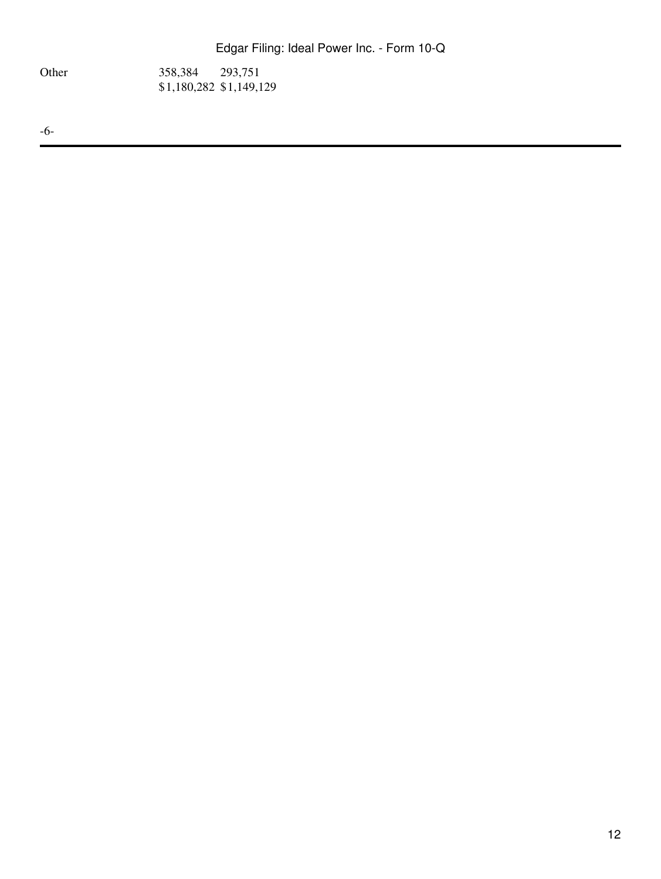Other 358,384 293,751 \$1,180,282 \$1,149,129

-6-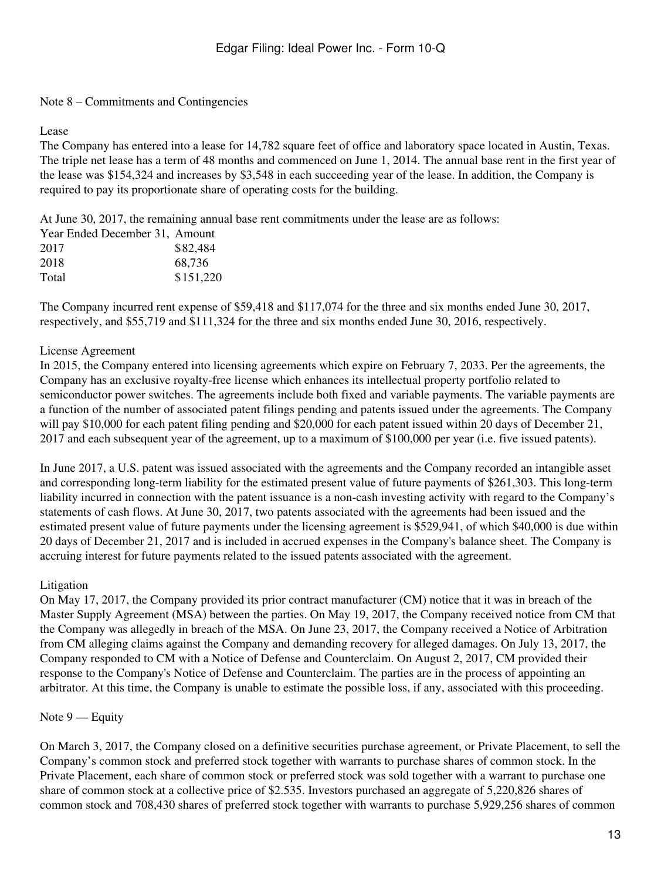#### Note 8 – Commitments and Contingencies

#### Lease

The Company has entered into a lease for 14,782 square feet of office and laboratory space located in Austin, Texas. The triple net lease has a term of 48 months and commenced on June 1, 2014. The annual base rent in the first year of the lease was \$154,324 and increases by \$3,548 in each succeeding year of the lease. In addition, the Company is required to pay its proportionate share of operating costs for the building.

At June 30, 2017, the remaining annual base rent commitments under the lease are as follows:

| Year Ended December 31, Amount |           |
|--------------------------------|-----------|
| 2017                           | \$82,484  |
| 2018                           | 68.736    |
| Total                          | \$151,220 |

The Company incurred rent expense of \$59,418 and \$117,074 for the three and six months ended June 30, 2017, respectively, and \$55,719 and \$111,324 for the three and six months ended June 30, 2016, respectively.

#### License Agreement

In 2015, the Company entered into licensing agreements which expire on February 7, 2033. Per the agreements, the Company has an exclusive royalty-free license which enhances its intellectual property portfolio related to semiconductor power switches. The agreements include both fixed and variable payments. The variable payments are a function of the number of associated patent filings pending and patents issued under the agreements. The Company will pay \$10,000 for each patent filing pending and \$20,000 for each patent issued within 20 days of December 21, 2017 and each subsequent year of the agreement, up to a maximum of \$100,000 per year (i.e. five issued patents).

In June 2017, a U.S. patent was issued associated with the agreements and the Company recorded an intangible asset and corresponding long-term liability for the estimated present value of future payments of \$261,303. This long-term liability incurred in connection with the patent issuance is a non-cash investing activity with regard to the Company's statements of cash flows. At June 30, 2017, two patents associated with the agreements had been issued and the estimated present value of future payments under the licensing agreement is \$529,941, of which \$40,000 is due within 20 days of December 21, 2017 and is included in accrued expenses in the Company's balance sheet. The Company is accruing interest for future payments related to the issued patents associated with the agreement.

#### Litigation

On May 17, 2017, the Company provided its prior contract manufacturer (CM) notice that it was in breach of the Master Supply Agreement (MSA) between the parties. On May 19, 2017, the Company received notice from CM that the Company was allegedly in breach of the MSA. On June 23, 2017, the Company received a Notice of Arbitration from CM alleging claims against the Company and demanding recovery for alleged damages. On July 13, 2017, the Company responded to CM with a Notice of Defense and Counterclaim. On August 2, 2017, CM provided their response to the Company's Notice of Defense and Counterclaim. The parties are in the process of appointing an arbitrator. At this time, the Company is unable to estimate the possible loss, if any, associated with this proceeding.

### Note 9 — Equity

On March 3, 2017, the Company closed on a definitive securities purchase agreement, or Private Placement, to sell the Company's common stock and preferred stock together with warrants to purchase shares of common stock. In the Private Placement, each share of common stock or preferred stock was sold together with a warrant to purchase one share of common stock at a collective price of \$2.535. Investors purchased an aggregate of 5,220,826 shares of common stock and 708,430 shares of preferred stock together with warrants to purchase 5,929,256 shares of common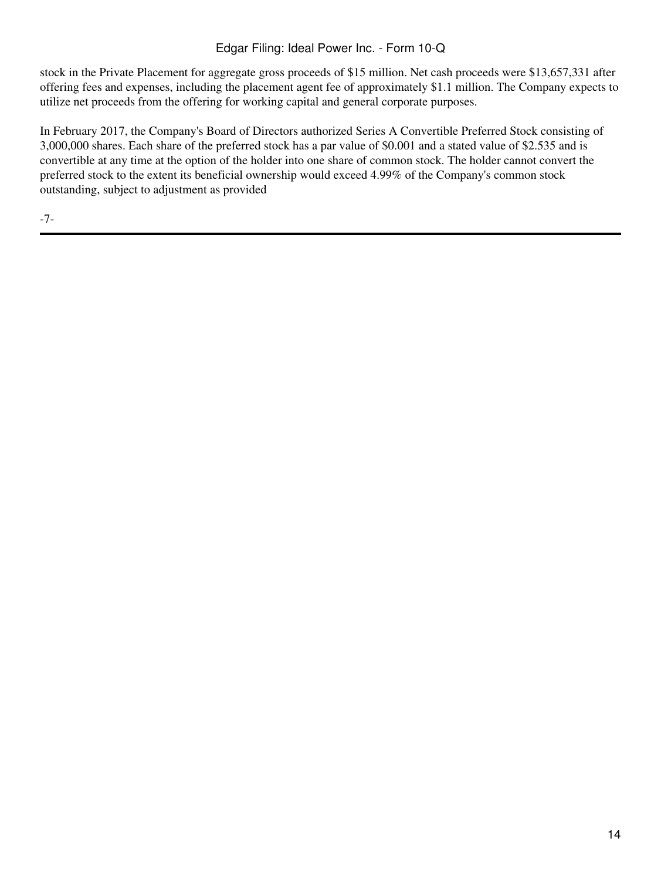# Edgar Filing: Ideal Power Inc. - Form 10-Q

stock in the Private Placement for aggregate gross proceeds of \$15 million. Net cash proceeds were \$13,657,331 after offering fees and expenses, including the placement agent fee of approximately \$1.1 million. The Company expects to utilize net proceeds from the offering for working capital and general corporate purposes.

In February 2017, the Company's Board of Directors authorized Series A Convertible Preferred Stock consisting of 3,000,000 shares. Each share of the preferred stock has a par value of \$0.001 and a stated value of \$2.535 and is convertible at any time at the option of the holder into one share of common stock. The holder cannot convert the preferred stock to the extent its beneficial ownership would exceed 4.99% of the Company's common stock outstanding, subject to adjustment as provided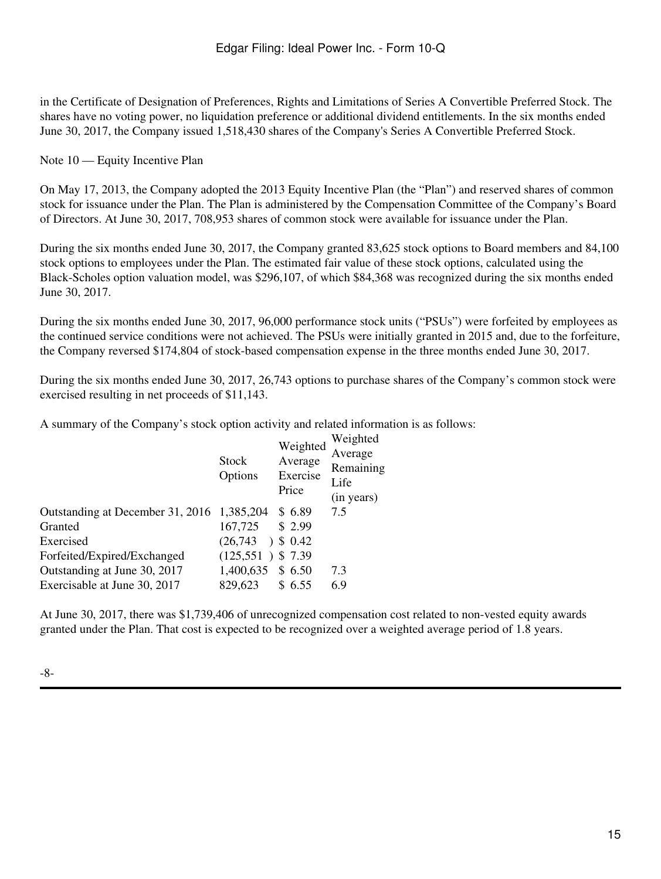in the Certificate of Designation of Preferences, Rights and Limitations of Series A Convertible Preferred Stock. The shares have no voting power, no liquidation preference or additional dividend entitlements. In the six months ended June 30, 2017, the Company issued 1,518,430 shares of the Company's Series A Convertible Preferred Stock.

Note 10 — Equity Incentive Plan

On May 17, 2013, the Company adopted the 2013 Equity Incentive Plan (the "Plan") and reserved shares of common stock for issuance under the Plan. The Plan is administered by the Compensation Committee of the Company's Board of Directors. At June 30, 2017, 708,953 shares of common stock were available for issuance under the Plan.

During the six months ended June 30, 2017, the Company granted 83,625 stock options to Board members and 84,100 stock options to employees under the Plan. The estimated fair value of these stock options, calculated using the Black-Scholes option valuation model, was \$296,107, of which \$84,368 was recognized during the six months ended June 30, 2017.

During the six months ended June 30, 2017, 96,000 performance stock units ("PSUs") were forfeited by employees as the continued service conditions were not achieved. The PSUs were initially granted in 2015 and, due to the forfeiture, the Company reversed \$174,804 of stock-based compensation expense in the three months ended June 30, 2017.

During the six months ended June 30, 2017, 26,743 options to purchase shares of the Company's common stock were exercised resulting in net proceeds of \$11,143.

A summary of the Company's stock option activity and related information is as follows:

| Stock<br>Options                           | Weighted<br>Average<br>Exercise<br>Price | Weighted<br>Average<br>Remaining<br>Life<br>(in years) |
|--------------------------------------------|------------------------------------------|--------------------------------------------------------|
| Outstanding at December 31, 2016 1,385,204 | \$6.89                                   | 7.5                                                    |
| 167,725                                    | \$2.99                                   |                                                        |
| (26,743)                                   | \$0.42                                   |                                                        |
|                                            | \$7.39                                   |                                                        |
| 1,400,635                                  | \$ 6.50                                  | 7.3                                                    |
| 829,623                                    | 6.55                                     | 6.9                                                    |
|                                            |                                          | $\mathcal{L}$<br>(125,551)                             |

At June 30, 2017, there was \$1,739,406 of unrecognized compensation cost related to non-vested equity awards granted under the Plan. That cost is expected to be recognized over a weighted average period of 1.8 years.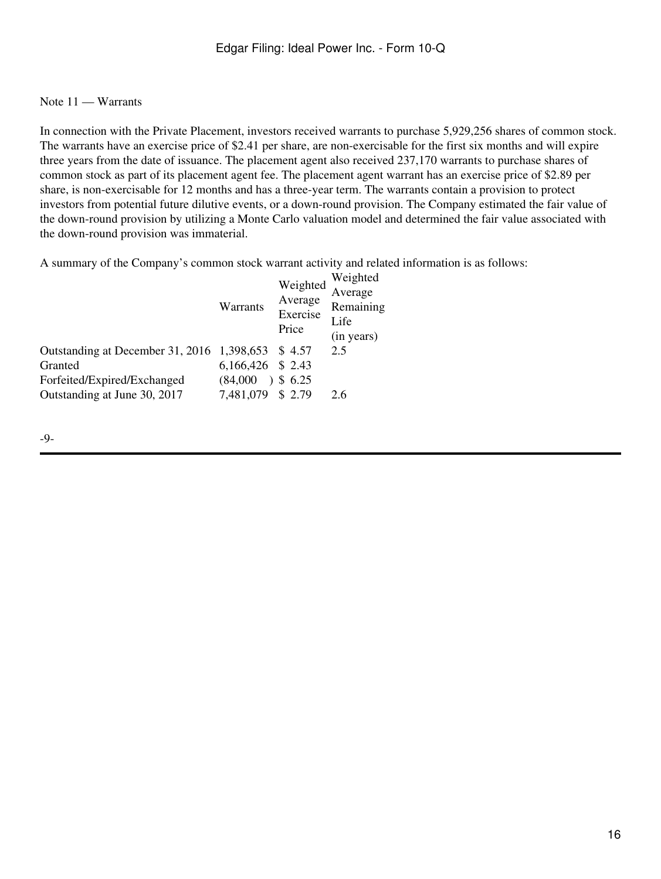### Note 11 — Warrants

In connection with the Private Placement, investors received warrants to purchase 5,929,256 shares of common stock. The warrants have an exercise price of \$2.41 per share, are non-exercisable for the first six months and will expire three years from the date of issuance. The placement agent also received 237,170 warrants to purchase shares of common stock as part of its placement agent fee. The placement agent warrant has an exercise price of \$2.89 per share, is non-exercisable for 12 months and has a three-year term. The warrants contain a provision to protect investors from potential future dilutive events, or a down-round provision. The Company estimated the fair value of the down-round provision by utilizing a Monte Carlo valuation model and determined the fair value associated with the down-round provision was immaterial.

A summary of the Company's common stock warrant activity and related information is as follows:  $\frac{1}{\sqrt{2}}$ 

|                                                   | Warrants          | Weighted<br>Average<br>Exercise<br>Price | Weighted<br>Average<br>Remaining<br>Life<br>(in years) |
|---------------------------------------------------|-------------------|------------------------------------------|--------------------------------------------------------|
| Outstanding at December 31, 2016 1,398,653 \$4.57 |                   |                                          | 2.5                                                    |
| Granted                                           | 6,166,426 \$ 2.43 |                                          |                                                        |
| Forfeited/Expired/Exchanged                       | (84,000)          | 3, 6.25                                  |                                                        |
| Outstanding at June 30, 2017                      | 7,481,079 \$ 2.79 |                                          | 2.6                                                    |
|                                                   |                   |                                          |                                                        |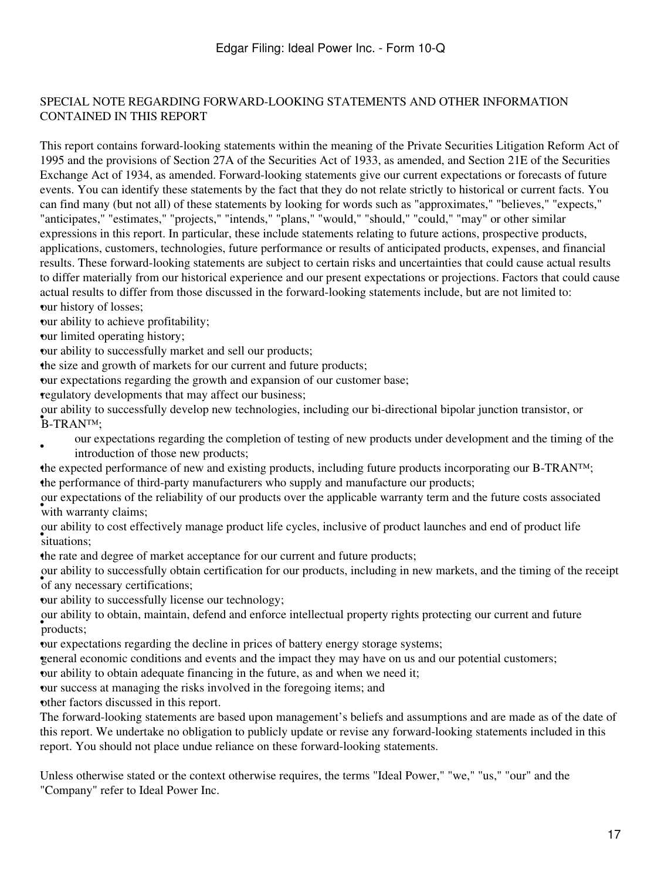## SPECIAL NOTE REGARDING FORWARD-LOOKING STATEMENTS AND OTHER INFORMATION CONTAINED IN THIS REPORT

This report contains forward-looking statements within the meaning of the Private Securities Litigation Reform Act of 1995 and the provisions of Section 27A of the Securities Act of 1933, as amended, and Section 21E of the Securities Exchange Act of 1934, as amended. Forward-looking statements give our current expectations or forecasts of future events. You can identify these statements by the fact that they do not relate strictly to historical or current facts. You can find many (but not all) of these statements by looking for words such as "approximates," "believes," "expects," "anticipates," "estimates," "projects," "intends," "plans," "would," "should," "could," "may" or other similar expressions in this report. In particular, these include statements relating to future actions, prospective products, applications, customers, technologies, future performance or results of anticipated products, expenses, and financial results. These forward-looking statements are subject to certain risks and uncertainties that could cause actual results to differ materially from our historical experience and our present expectations or projections. Factors that could cause actual results to differ from those discussed in the forward-looking statements include, but are not limited to: •our history of losses;

•our ability to achieve profitability;

•our limited operating history;

•our ability to successfully market and sell our products;

•the size and growth of markets for our current and future products;

•our expectations regarding the growth and expansion of our customer base;

•regulatory developments that may affect our business;

B-TRAN<sup>TM</sup>; our ability to successfully develop new technologies, including our bi-directional bipolar junction transistor, or

- our expectations regarding the completion of testing of new products under development and the timing of the introduction of those new products;
- •the expected performance of new and existing products, including future products incorporating our B-TRAN™; •the performance of third-party manufacturers who supply and manufacture our products;

with warranty claims; our expectations of the reliability of our products over the applicable warranty term and the future costs associated

• situations; our ability to cost effectively manage product life cycles, inclusive of product launches and end of product life

•the rate and degree of market acceptance for our current and future products;

of any necessary certifications; our ability to successfully obtain certification for our products, including in new markets, and the timing of the receipt

•our ability to successfully license our technology;

• products; our ability to obtain, maintain, defend and enforce intellectual property rights protecting our current and future

•our expectations regarding the decline in prices of battery energy storage systems;

•general economic conditions and events and the impact they may have on us and our potential customers;

•our ability to obtain adequate financing in the future, as and when we need it;

•our success at managing the risks involved in the foregoing items; and

•other factors discussed in this report.

The forward-looking statements are based upon management's beliefs and assumptions and are made as of the date of this report. We undertake no obligation to publicly update or revise any forward-looking statements included in this report. You should not place undue reliance on these forward-looking statements.

Unless otherwise stated or the context otherwise requires, the terms "Ideal Power," "we," "us," "our" and the "Company" refer to Ideal Power Inc.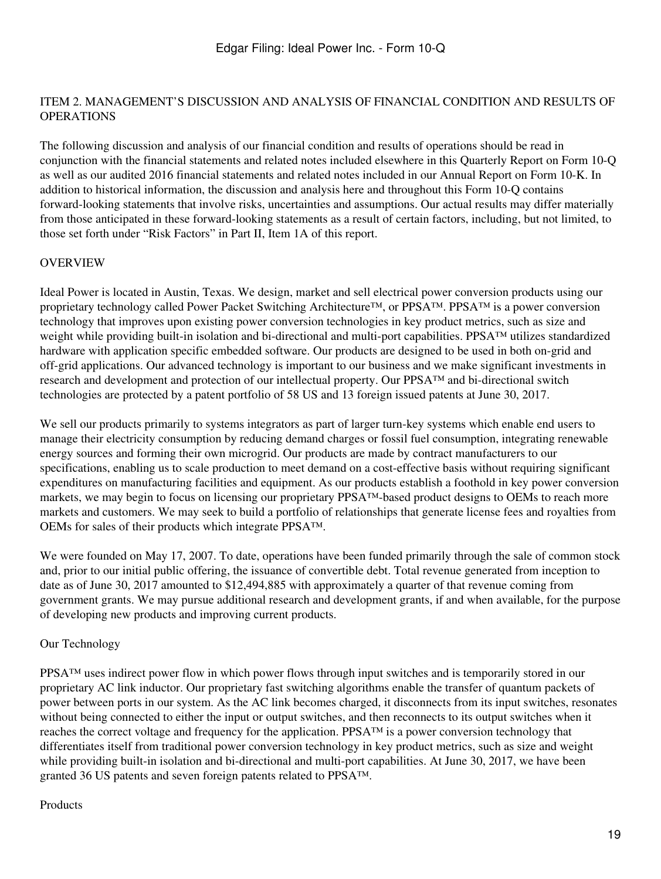#### <span id="page-18-0"></span>ITEM 2. MANAGEMENT'S DISCUSSION AND ANALYSIS OF FINANCIAL CONDITION AND RESULTS OF OPERATIONS

The following discussion and analysis of our financial condition and results of operations should be read in conjunction with the financial statements and related notes included elsewhere in this Quarterly Report on Form 10-Q as well as our audited 2016 financial statements and related notes included in our Annual Report on Form 10-K. In addition to historical information, the discussion and analysis here and throughout this Form 10-Q contains forward-looking statements that involve risks, uncertainties and assumptions. Our actual results may differ materially from those anticipated in these forward-looking statements as a result of certain factors, including, but not limited, to those set forth under "Risk Factors" in Part II, Item 1A of this report.

### OVERVIEW

Ideal Power is located in Austin, Texas. We design, market and sell electrical power conversion products using our proprietary technology called Power Packet Switching Architecture™, or PPSA™. PPSA™ is a power conversion technology that improves upon existing power conversion technologies in key product metrics, such as size and weight while providing built-in isolation and bi-directional and multi-port capabilities. PPSA™ utilizes standardized hardware with application specific embedded software. Our products are designed to be used in both on-grid and off-grid applications. Our advanced technology is important to our business and we make significant investments in research and development and protection of our intellectual property. Our PPSA™ and bi-directional switch technologies are protected by a patent portfolio of 58 US and 13 foreign issued patents at June 30, 2017.

We sell our products primarily to systems integrators as part of larger turn-key systems which enable end users to manage their electricity consumption by reducing demand charges or fossil fuel consumption, integrating renewable energy sources and forming their own microgrid. Our products are made by contract manufacturers to our specifications, enabling us to scale production to meet demand on a cost-effective basis without requiring significant expenditures on manufacturing facilities and equipment. As our products establish a foothold in key power conversion markets, we may begin to focus on licensing our proprietary PPSA™-based product designs to OEMs to reach more markets and customers. We may seek to build a portfolio of relationships that generate license fees and royalties from OEMs for sales of their products which integrate PPSA™.

We were founded on May 17, 2007. To date, operations have been funded primarily through the sale of common stock and, prior to our initial public offering, the issuance of convertible debt. Total revenue generated from inception to date as of June 30, 2017 amounted to \$12,494,885 with approximately a quarter of that revenue coming from government grants. We may pursue additional research and development grants, if and when available, for the purpose of developing new products and improving current products.

### Our Technology

PPSA™ uses indirect power flow in which power flows through input switches and is temporarily stored in our proprietary AC link inductor. Our proprietary fast switching algorithms enable the transfer of quantum packets of power between ports in our system. As the AC link becomes charged, it disconnects from its input switches, resonates without being connected to either the input or output switches, and then reconnects to its output switches when it reaches the correct voltage and frequency for the application. PPSA™ is a power conversion technology that differentiates itself from traditional power conversion technology in key product metrics, such as size and weight while providing built-in isolation and bi-directional and multi-port capabilities. At June 30, 2017, we have been granted 36 US patents and seven foreign patents related to PPSA™.

#### Products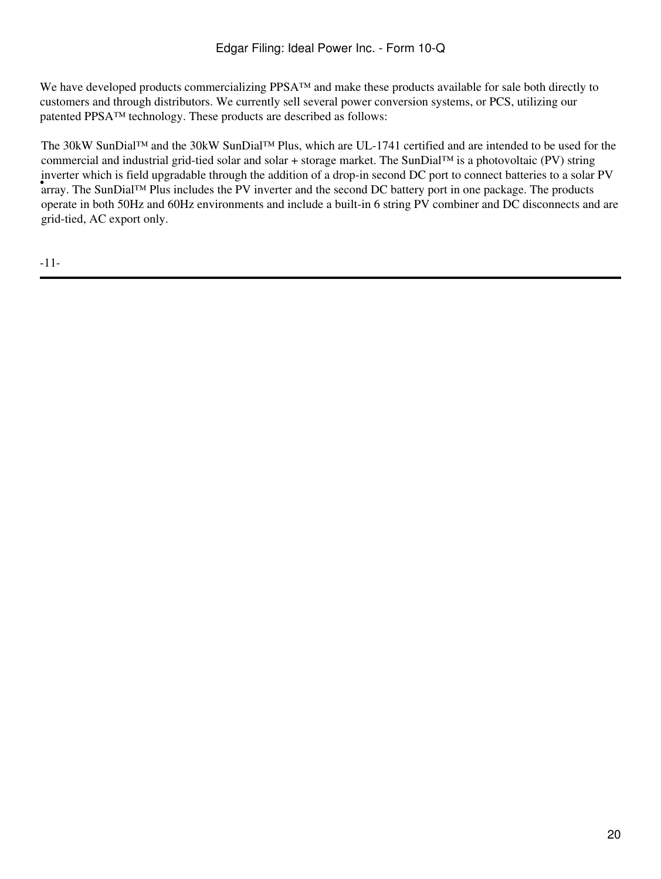We have developed products commercializing PPSA™ and make these products available for sale both directly to customers and through distributors. We currently sell several power conversion systems, or PCS, utilizing our patented PPSA™ technology. These products are described as follows:

**Exercise which is first apgraducte anough the domiton of a drop** in second DC port to connect batteries to a solar<br>array. The SunDial™ Plus includes the PV inverter and the second DC battery port in one package. The prod The 30kW SunDial™ and the 30kW SunDial™ Plus, which are UL-1741 certified and are intended to be used for the commercial and industrial grid-tied solar and solar + storage market. The SunDial™ is a photovoltaic (PV) string inverter which is field upgradable through the addition of a drop-in second DC port to connect batteries to a solar PV operate in both 50Hz and 60Hz environments and include a built-in 6 string PV combiner and DC disconnects and are grid-tied, AC export only.

-11-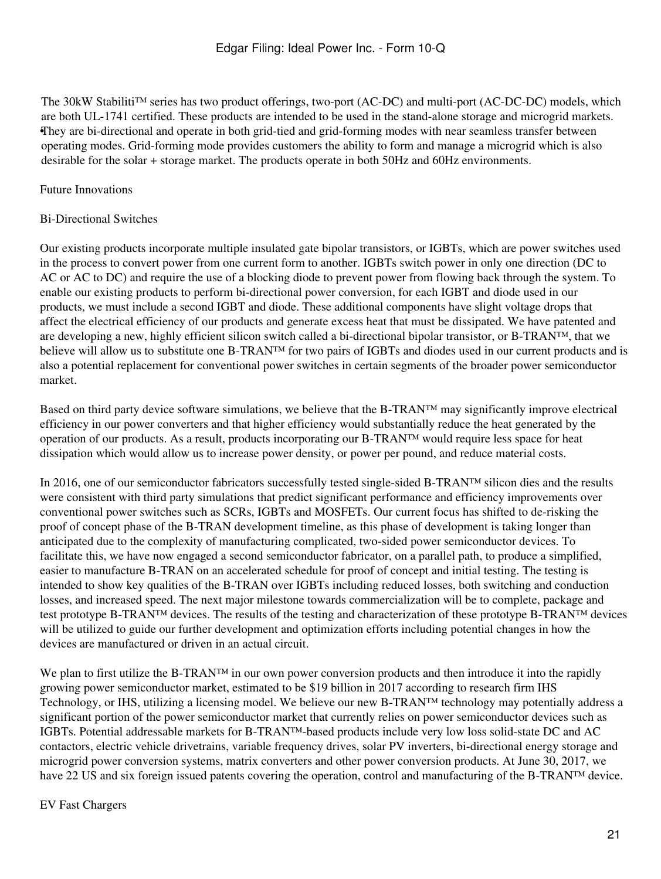• They are bi-directional and operate in both grid-tied and grid-forming modes with near seamless transfer between The 30kW Stabiliti™ series has two product offerings, two-port (AC-DC) and multi-port (AC-DC-DC) models, which are both UL-1741 certified. These products are intended to be used in the stand-alone storage and microgrid markets. operating modes. Grid-forming mode provides customers the ability to form and manage a microgrid which is also desirable for the solar + storage market. The products operate in both 50Hz and 60Hz environments.

### Future Innovations

### Bi-Directional Switches

Our existing products incorporate multiple insulated gate bipolar transistors, or IGBTs, which are power switches used in the process to convert power from one current form to another. IGBTs switch power in only one direction (DC to AC or AC to DC) and require the use of a blocking diode to prevent power from flowing back through the system. To enable our existing products to perform bi-directional power conversion, for each IGBT and diode used in our products, we must include a second IGBT and diode. These additional components have slight voltage drops that affect the electrical efficiency of our products and generate excess heat that must be dissipated. We have patented and are developing a new, highly efficient silicon switch called a bi-directional bipolar transistor, or B-TRAN™, that we believe will allow us to substitute one B-TRAN™ for two pairs of IGBTs and diodes used in our current products and is also a potential replacement for conventional power switches in certain segments of the broader power semiconductor market.

Based on third party device software simulations, we believe that the B-TRAN<sup>™</sup> may significantly improve electrical efficiency in our power converters and that higher efficiency would substantially reduce the heat generated by the operation of our products. As a result, products incorporating our B-TRAN™ would require less space for heat dissipation which would allow us to increase power density, or power per pound, and reduce material costs.

In 2016, one of our semiconductor fabricators successfully tested single-sided B-TRAN™ silicon dies and the results were consistent with third party simulations that predict significant performance and efficiency improvements over conventional power switches such as SCRs, IGBTs and MOSFETs. Our current focus has shifted to de-risking the proof of concept phase of the B-TRAN development timeline, as this phase of development is taking longer than anticipated due to the complexity of manufacturing complicated, two-sided power semiconductor devices. To facilitate this, we have now engaged a second semiconductor fabricator, on a parallel path, to produce a simplified, easier to manufacture B-TRAN on an accelerated schedule for proof of concept and initial testing. The testing is intended to show key qualities of the B-TRAN over IGBTs including reduced losses, both switching and conduction losses, and increased speed. The next major milestone towards commercialization will be to complete, package and test prototype B-TRAN™ devices. The results of the testing and characterization of these prototype B-TRAN™ devices will be utilized to guide our further development and optimization efforts including potential changes in how the devices are manufactured or driven in an actual circuit.

We plan to first utilize the B-TRAN™ in our own power conversion products and then introduce it into the rapidly growing power semiconductor market, estimated to be \$19 billion in 2017 according to research firm IHS Technology, or IHS, utilizing a licensing model. We believe our new B-TRAN™ technology may potentially address a significant portion of the power semiconductor market that currently relies on power semiconductor devices such as IGBTs. Potential addressable markets for B-TRAN™-based products include very low loss solid-state DC and AC contactors, electric vehicle drivetrains, variable frequency drives, solar PV inverters, bi-directional energy storage and microgrid power conversion systems, matrix converters and other power conversion products. At June 30, 2017, we have 22 US and six foreign issued patents covering the operation, control and manufacturing of the B-TRAN™ device.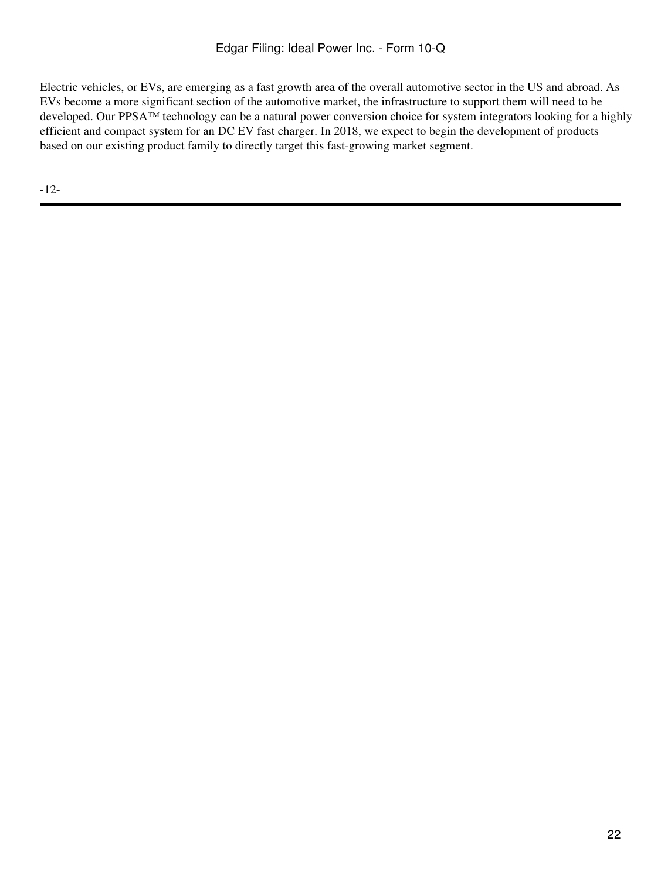Electric vehicles, or EVs, are emerging as a fast growth area of the overall automotive sector in the US and abroad. As EVs become a more significant section of the automotive market, the infrastructure to support them will need to be developed. Our PPSA™ technology can be a natural power conversion choice for system integrators looking for a highly efficient and compact system for an DC EV fast charger. In 2018, we expect to begin the development of products based on our existing product family to directly target this fast-growing market segment.

-12-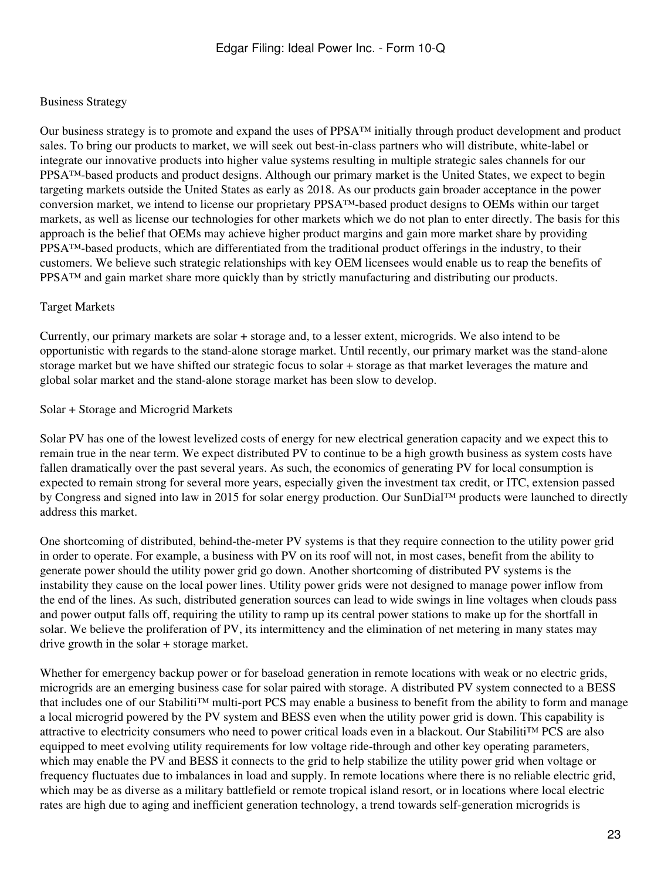### Business Strategy

Our business strategy is to promote and expand the uses of PPSA™ initially through product development and product sales. To bring our products to market, we will seek out best-in-class partners who will distribute, white-label or integrate our innovative products into higher value systems resulting in multiple strategic sales channels for our PPSA<sup>™</sup>-based products and product designs. Although our primary market is the United States, we expect to begin targeting markets outside the United States as early as 2018. As our products gain broader acceptance in the power conversion market, we intend to license our proprietary PPSA™-based product designs to OEMs within our target markets, as well as license our technologies for other markets which we do not plan to enter directly. The basis for this approach is the belief that OEMs may achieve higher product margins and gain more market share by providing PPSA™-based products, which are differentiated from the traditional product offerings in the industry, to their customers. We believe such strategic relationships with key OEM licensees would enable us to reap the benefits of PPSA™ and gain market share more quickly than by strictly manufacturing and distributing our products.

#### Target Markets

Currently, our primary markets are solar + storage and, to a lesser extent, microgrids. We also intend to be opportunistic with regards to the stand-alone storage market. Until recently, our primary market was the stand-alone storage market but we have shifted our strategic focus to solar + storage as that market leverages the mature and global solar market and the stand-alone storage market has been slow to develop.

#### Solar + Storage and Microgrid Markets

Solar PV has one of the lowest levelized costs of energy for new electrical generation capacity and we expect this to remain true in the near term. We expect distributed PV to continue to be a high growth business as system costs have fallen dramatically over the past several years. As such, the economics of generating PV for local consumption is expected to remain strong for several more years, especially given the investment tax credit, or ITC, extension passed by Congress and signed into law in 2015 for solar energy production. Our SunDial™ products were launched to directly address this market.

One shortcoming of distributed, behind-the-meter PV systems is that they require connection to the utility power grid in order to operate. For example, a business with PV on its roof will not, in most cases, benefit from the ability to generate power should the utility power grid go down. Another shortcoming of distributed PV systems is the instability they cause on the local power lines. Utility power grids were not designed to manage power inflow from the end of the lines. As such, distributed generation sources can lead to wide swings in line voltages when clouds pass and power output falls off, requiring the utility to ramp up its central power stations to make up for the shortfall in solar. We believe the proliferation of PV, its intermittency and the elimination of net metering in many states may drive growth in the solar + storage market.

Whether for emergency backup power or for baseload generation in remote locations with weak or no electric grids, microgrids are an emerging business case for solar paired with storage. A distributed PV system connected to a BESS that includes one of our Stabiliti™ multi-port PCS may enable a business to benefit from the ability to form and manage a local microgrid powered by the PV system and BESS even when the utility power grid is down. This capability is attractive to electricity consumers who need to power critical loads even in a blackout. Our Stabiliti™ PCS are also equipped to meet evolving utility requirements for low voltage ride-through and other key operating parameters, which may enable the PV and BESS it connects to the grid to help stabilize the utility power grid when voltage or frequency fluctuates due to imbalances in load and supply. In remote locations where there is no reliable electric grid, which may be as diverse as a military battlefield or remote tropical island resort, or in locations where local electric rates are high due to aging and inefficient generation technology, a trend towards self-generation microgrids is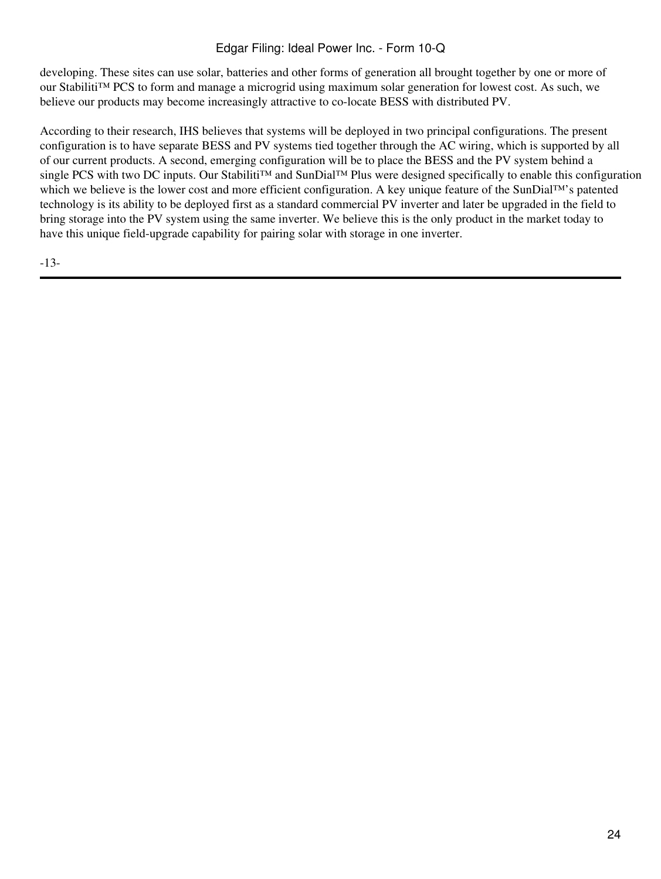# Edgar Filing: Ideal Power Inc. - Form 10-Q

developing. These sites can use solar, batteries and other forms of generation all brought together by one or more of our Stabiliti™ PCS to form and manage a microgrid using maximum solar generation for lowest cost. As such, we believe our products may become increasingly attractive to co-locate BESS with distributed PV.

According to their research, IHS believes that systems will be deployed in two principal configurations. The present configuration is to have separate BESS and PV systems tied together through the AC wiring, which is supported by all of our current products. A second, emerging configuration will be to place the BESS and the PV system behind a single PCS with two DC inputs. Our Stabiliti™ and SunDial™ Plus were designed specifically to enable this configuration which we believe is the lower cost and more efficient configuration. A key unique feature of the SunDial™'s patented technology is its ability to be deployed first as a standard commercial PV inverter and later be upgraded in the field to bring storage into the PV system using the same inverter. We believe this is the only product in the market today to have this unique field-upgrade capability for pairing solar with storage in one inverter.

-13-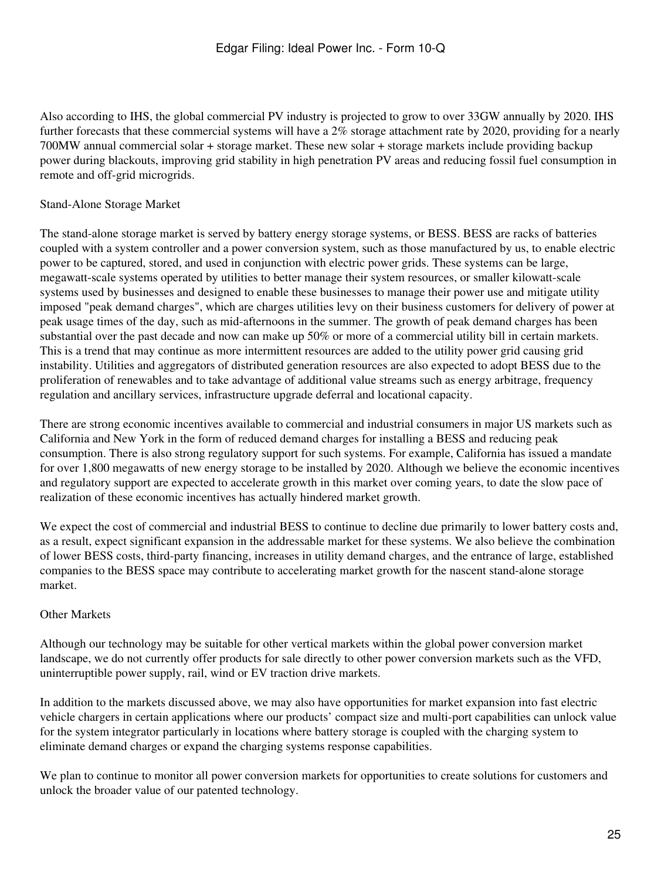Also according to IHS, the global commercial PV industry is projected to grow to over 33GW annually by 2020. IHS further forecasts that these commercial systems will have a 2% storage attachment rate by 2020, providing for a nearly 700MW annual commercial solar + storage market. These new solar + storage markets include providing backup power during blackouts, improving grid stability in high penetration PV areas and reducing fossil fuel consumption in remote and off-grid microgrids.

#### Stand-Alone Storage Market

The stand-alone storage market is served by battery energy storage systems, or BESS. BESS are racks of batteries coupled with a system controller and a power conversion system, such as those manufactured by us, to enable electric power to be captured, stored, and used in conjunction with electric power grids. These systems can be large, megawatt-scale systems operated by utilities to better manage their system resources, or smaller kilowatt-scale systems used by businesses and designed to enable these businesses to manage their power use and mitigate utility imposed "peak demand charges", which are charges utilities levy on their business customers for delivery of power at peak usage times of the day, such as mid-afternoons in the summer. The growth of peak demand charges has been substantial over the past decade and now can make up 50% or more of a commercial utility bill in certain markets. This is a trend that may continue as more intermittent resources are added to the utility power grid causing grid instability. Utilities and aggregators of distributed generation resources are also expected to adopt BESS due to the proliferation of renewables and to take advantage of additional value streams such as energy arbitrage, frequency regulation and ancillary services, infrastructure upgrade deferral and locational capacity.

There are strong economic incentives available to commercial and industrial consumers in major US markets such as California and New York in the form of reduced demand charges for installing a BESS and reducing peak consumption. There is also strong regulatory support for such systems. For example, California has issued a mandate for over 1,800 megawatts of new energy storage to be installed by 2020. Although we believe the economic incentives and regulatory support are expected to accelerate growth in this market over coming years, to date the slow pace of realization of these economic incentives has actually hindered market growth.

We expect the cost of commercial and industrial BESS to continue to decline due primarily to lower battery costs and, as a result, expect significant expansion in the addressable market for these systems. We also believe the combination of lower BESS costs, third-party financing, increases in utility demand charges, and the entrance of large, established companies to the BESS space may contribute to accelerating market growth for the nascent stand-alone storage market.

### Other Markets

Although our technology may be suitable for other vertical markets within the global power conversion market landscape, we do not currently offer products for sale directly to other power conversion markets such as the VFD, uninterruptible power supply, rail, wind or EV traction drive markets.

In addition to the markets discussed above, we may also have opportunities for market expansion into fast electric vehicle chargers in certain applications where our products' compact size and multi-port capabilities can unlock value for the system integrator particularly in locations where battery storage is coupled with the charging system to eliminate demand charges or expand the charging systems response capabilities.

We plan to continue to monitor all power conversion markets for opportunities to create solutions for customers and unlock the broader value of our patented technology.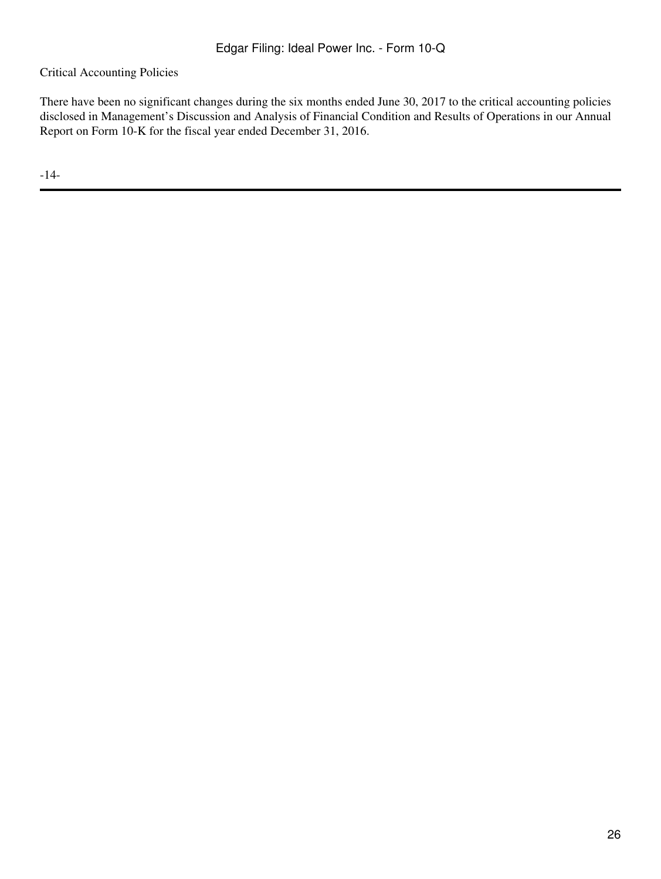Critical Accounting Policies

There have been no significant changes during the six months ended June 30, 2017 to the critical accounting policies disclosed in Management's Discussion and Analysis of Financial Condition and Results of Operations in our Annual Report on Form 10-K for the fiscal year ended December 31, 2016.

-14-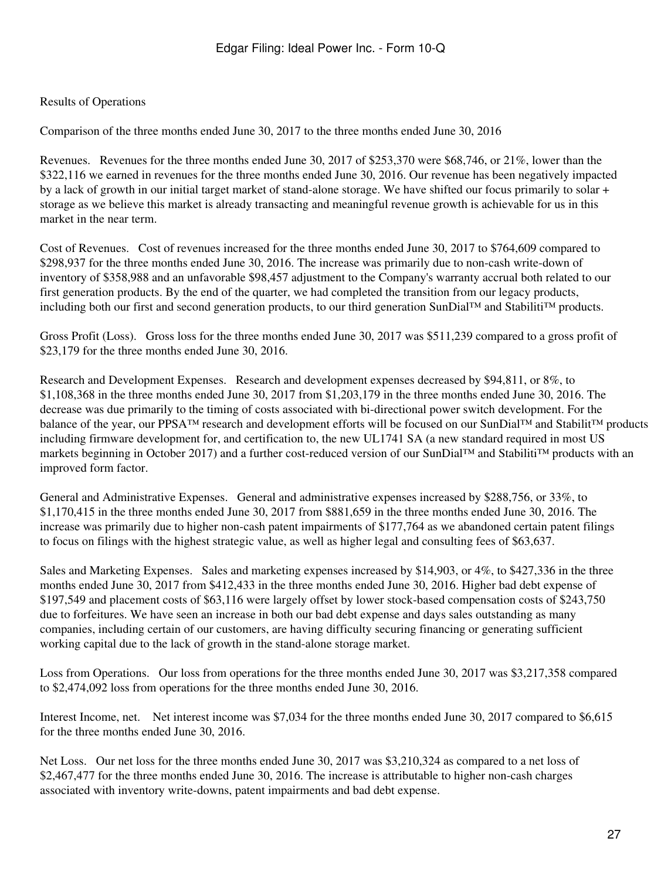## Results of Operations

Comparison of the three months ended June 30, 2017 to the three months ended June 30, 2016

Revenues. Revenues for the three months ended June 30, 2017 of \$253,370 were \$68,746, or 21%, lower than the \$322,116 we earned in revenues for the three months ended June 30, 2016. Our revenue has been negatively impacted by a lack of growth in our initial target market of stand-alone storage. We have shifted our focus primarily to solar + storage as we believe this market is already transacting and meaningful revenue growth is achievable for us in this market in the near term.

Cost of Revenues. Cost of revenues increased for the three months ended June 30, 2017 to \$764,609 compared to \$298,937 for the three months ended June 30, 2016. The increase was primarily due to non-cash write-down of inventory of \$358,988 and an unfavorable \$98,457 adjustment to the Company's warranty accrual both related to our first generation products. By the end of the quarter, we had completed the transition from our legacy products, including both our first and second generation products, to our third generation SunDial™ and Stabiliti™ products.

Gross Profit (Loss). Gross loss for the three months ended June 30, 2017 was \$511,239 compared to a gross profit of \$23,179 for the three months ended June 30, 2016.

Research and Development Expenses. Research and development expenses decreased by \$94,811, or 8%, to \$1,108,368 in the three months ended June 30, 2017 from \$1,203,179 in the three months ended June 30, 2016. The decrease was due primarily to the timing of costs associated with bi-directional power switch development. For the balance of the year, our PPSA™ research and development efforts will be focused on our SunDial™ and Stabilit™ products including firmware development for, and certification to, the new UL1741 SA (a new standard required in most US markets beginning in October 2017) and a further cost-reduced version of our SunDial™ and Stabiliti™ products with an improved form factor.

General and Administrative Expenses. General and administrative expenses increased by \$288,756, or 33%, to \$1,170,415 in the three months ended June 30, 2017 from \$881,659 in the three months ended June 30, 2016. The increase was primarily due to higher non-cash patent impairments of \$177,764 as we abandoned certain patent filings to focus on filings with the highest strategic value, as well as higher legal and consulting fees of \$63,637.

Sales and Marketing Expenses. Sales and marketing expenses increased by \$14,903, or 4%, to \$427,336 in the three months ended June 30, 2017 from \$412,433 in the three months ended June 30, 2016. Higher bad debt expense of \$197,549 and placement costs of \$63,116 were largely offset by lower stock-based compensation costs of \$243,750 due to forfeitures. We have seen an increase in both our bad debt expense and days sales outstanding as many companies, including certain of our customers, are having difficulty securing financing or generating sufficient working capital due to the lack of growth in the stand-alone storage market.

Loss from Operations. Our loss from operations for the three months ended June 30, 2017 was \$3,217,358 compared to \$2,474,092 loss from operations for the three months ended June 30, 2016.

Interest Income, net. Net interest income was \$7,034 for the three months ended June 30, 2017 compared to \$6,615 for the three months ended June 30, 2016.

Net Loss. Our net loss for the three months ended June 30, 2017 was \$3,210,324 as compared to a net loss of \$2,467,477 for the three months ended June 30, 2016. The increase is attributable to higher non-cash charges associated with inventory write-downs, patent impairments and bad debt expense.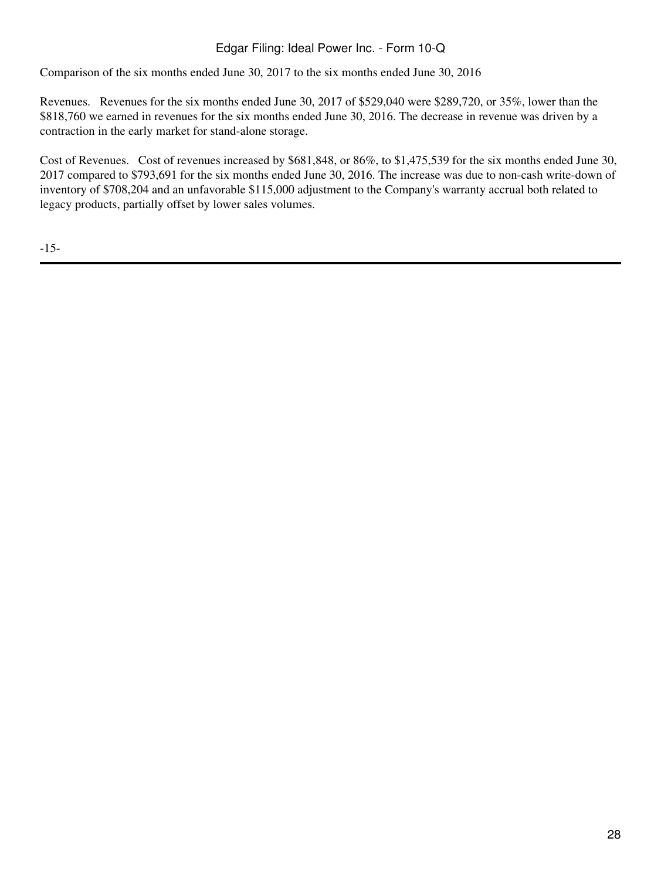# Edgar Filing: Ideal Power Inc. - Form 10-Q

Comparison of the six months ended June 30, 2017 to the six months ended June 30, 2016

Revenues. Revenues for the six months ended June 30, 2017 of \$529,040 were \$289,720, or 35%, lower than the \$818,760 we earned in revenues for the six months ended June 30, 2016. The decrease in revenue was driven by a contraction in the early market for stand-alone storage.

Cost of Revenues. Cost of revenues increased by \$681,848, or 86%, to \$1,475,539 for the six months ended June 30, 2017 compared to \$793,691 for the six months ended June 30, 2016. The increase was due to non-cash write-down of inventory of \$708,204 and an unfavorable \$115,000 adjustment to the Company's warranty accrual both related to legacy products, partially offset by lower sales volumes.

-15-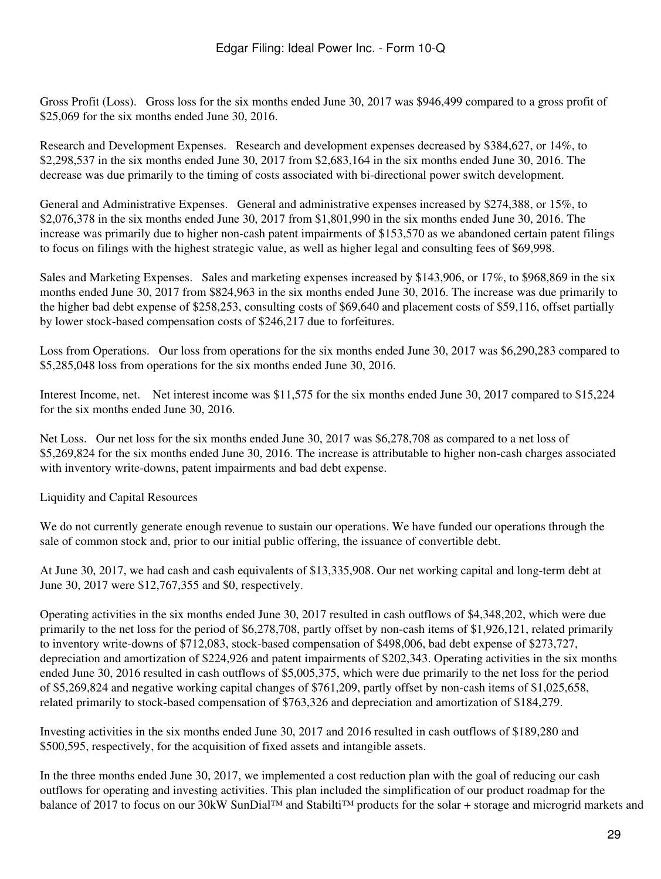Gross Profit (Loss). Gross loss for the six months ended June 30, 2017 was \$946,499 compared to a gross profit of \$25,069 for the six months ended June 30, 2016.

Research and Development Expenses. Research and development expenses decreased by \$384,627, or 14%, to \$2,298,537 in the six months ended June 30, 2017 from \$2,683,164 in the six months ended June 30, 2016. The decrease was due primarily to the timing of costs associated with bi-directional power switch development.

General and Administrative Expenses. General and administrative expenses increased by \$274,388, or 15%, to \$2,076,378 in the six months ended June 30, 2017 from \$1,801,990 in the six months ended June 30, 2016. The increase was primarily due to higher non-cash patent impairments of \$153,570 as we abandoned certain patent filings to focus on filings with the highest strategic value, as well as higher legal and consulting fees of \$69,998.

Sales and Marketing Expenses. Sales and marketing expenses increased by \$143,906, or 17%, to \$968,869 in the six months ended June 30, 2017 from \$824,963 in the six months ended June 30, 2016. The increase was due primarily to the higher bad debt expense of \$258,253, consulting costs of \$69,640 and placement costs of \$59,116, offset partially by lower stock-based compensation costs of \$246,217 due to forfeitures.

Loss from Operations. Our loss from operations for the six months ended June 30, 2017 was \$6,290,283 compared to \$5,285,048 loss from operations for the six months ended June 30, 2016.

Interest Income, net. Net interest income was \$11,575 for the six months ended June 30, 2017 compared to \$15,224 for the six months ended June 30, 2016.

Net Loss. Our net loss for the six months ended June 30, 2017 was \$6,278,708 as compared to a net loss of \$5,269,824 for the six months ended June 30, 2016. The increase is attributable to higher non-cash charges associated with inventory write-downs, patent impairments and bad debt expense.

Liquidity and Capital Resources

We do not currently generate enough revenue to sustain our operations. We have funded our operations through the sale of common stock and, prior to our initial public offering, the issuance of convertible debt.

At June 30, 2017, we had cash and cash equivalents of \$13,335,908. Our net working capital and long-term debt at June 30, 2017 were \$12,767,355 and \$0, respectively.

Operating activities in the six months ended June 30, 2017 resulted in cash outflows of \$4,348,202, which were due primarily to the net loss for the period of \$6,278,708, partly offset by non-cash items of \$1,926,121, related primarily to inventory write-downs of \$712,083, stock-based compensation of \$498,006, bad debt expense of \$273,727, depreciation and amortization of \$224,926 and patent impairments of \$202,343. Operating activities in the six months ended June 30, 2016 resulted in cash outflows of \$5,005,375, which were due primarily to the net loss for the period of \$5,269,824 and negative working capital changes of \$761,209, partly offset by non-cash items of \$1,025,658, related primarily to stock-based compensation of \$763,326 and depreciation and amortization of \$184,279.

Investing activities in the six months ended June 30, 2017 and 2016 resulted in cash outflows of \$189,280 and \$500,595, respectively, for the acquisition of fixed assets and intangible assets.

In the three months ended June 30, 2017, we implemented a cost reduction plan with the goal of reducing our cash outflows for operating and investing activities. This plan included the simplification of our product roadmap for the balance of 2017 to focus on our 30kW SunDial™ and Stabilti™ products for the solar + storage and microgrid markets and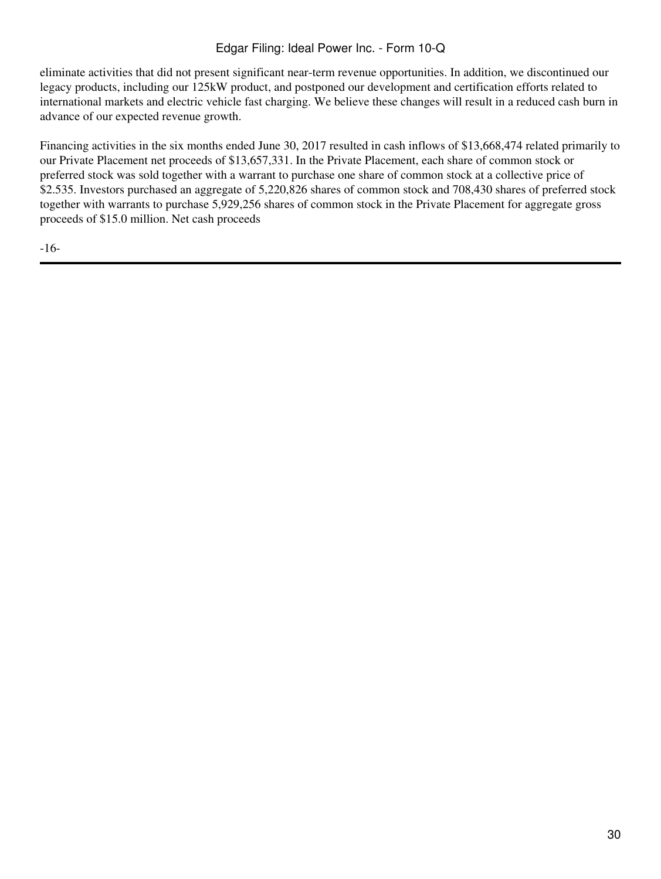# Edgar Filing: Ideal Power Inc. - Form 10-Q

eliminate activities that did not present significant near-term revenue opportunities. In addition, we discontinued our legacy products, including our 125kW product, and postponed our development and certification efforts related to international markets and electric vehicle fast charging. We believe these changes will result in a reduced cash burn in advance of our expected revenue growth.

Financing activities in the six months ended June 30, 2017 resulted in cash inflows of \$13,668,474 related primarily to our Private Placement net proceeds of \$13,657,331. In the Private Placement, each share of common stock or preferred stock was sold together with a warrant to purchase one share of common stock at a collective price of \$2.535. Investors purchased an aggregate of 5,220,826 shares of common stock and 708,430 shares of preferred stock together with warrants to purchase 5,929,256 shares of common stock in the Private Placement for aggregate gross proceeds of \$15.0 million. Net cash proceeds

-16-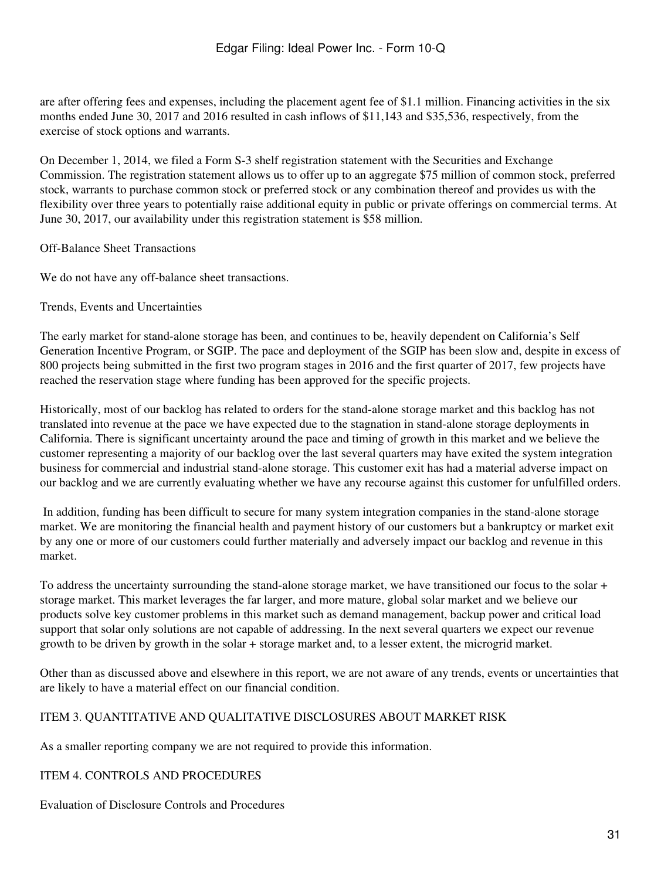are after offering fees and expenses, including the placement agent fee of \$1.1 million. Financing activities in the six months ended June 30, 2017 and 2016 resulted in cash inflows of \$11,143 and \$35,536, respectively, from the exercise of stock options and warrants.

On December 1, 2014, we filed a Form S-3 shelf registration statement with the Securities and Exchange Commission. The registration statement allows us to offer up to an aggregate \$75 million of common stock, preferred stock, warrants to purchase common stock or preferred stock or any combination thereof and provides us with the flexibility over three years to potentially raise additional equity in public or private offerings on commercial terms. At June 30, 2017, our availability under this registration statement is \$58 million.

Off-Balance Sheet Transactions

We do not have any off-balance sheet transactions.

Trends, Events and Uncertainties

The early market for stand-alone storage has been, and continues to be, heavily dependent on California's Self Generation Incentive Program, or SGIP. The pace and deployment of the SGIP has been slow and, despite in excess of 800 projects being submitted in the first two program stages in 2016 and the first quarter of 2017, few projects have reached the reservation stage where funding has been approved for the specific projects.

Historically, most of our backlog has related to orders for the stand-alone storage market and this backlog has not translated into revenue at the pace we have expected due to the stagnation in stand-alone storage deployments in California. There is significant uncertainty around the pace and timing of growth in this market and we believe the customer representing a majority of our backlog over the last several quarters may have exited the system integration business for commercial and industrial stand-alone storage. This customer exit has had a material adverse impact on our backlog and we are currently evaluating whether we have any recourse against this customer for unfulfilled orders.

 In addition, funding has been difficult to secure for many system integration companies in the stand-alone storage market. We are monitoring the financial health and payment history of our customers but a bankruptcy or market exit by any one or more of our customers could further materially and adversely impact our backlog and revenue in this market.

To address the uncertainty surrounding the stand-alone storage market, we have transitioned our focus to the solar + storage market. This market leverages the far larger, and more mature, global solar market and we believe our products solve key customer problems in this market such as demand management, backup power and critical load support that solar only solutions are not capable of addressing. In the next several quarters we expect our revenue growth to be driven by growth in the solar + storage market and, to a lesser extent, the microgrid market.

Other than as discussed above and elsewhere in this report, we are not aware of any trends, events or uncertainties that are likely to have a material effect on our financial condition.

### <span id="page-30-0"></span>ITEM 3. QUANTITATIVE AND QUALITATIVE DISCLOSURES ABOUT MARKET RISK

As a smaller reporting company we are not required to provide this information.

<span id="page-30-1"></span>ITEM 4. CONTROLS AND PROCEDURES

Evaluation of Disclosure Controls and Procedures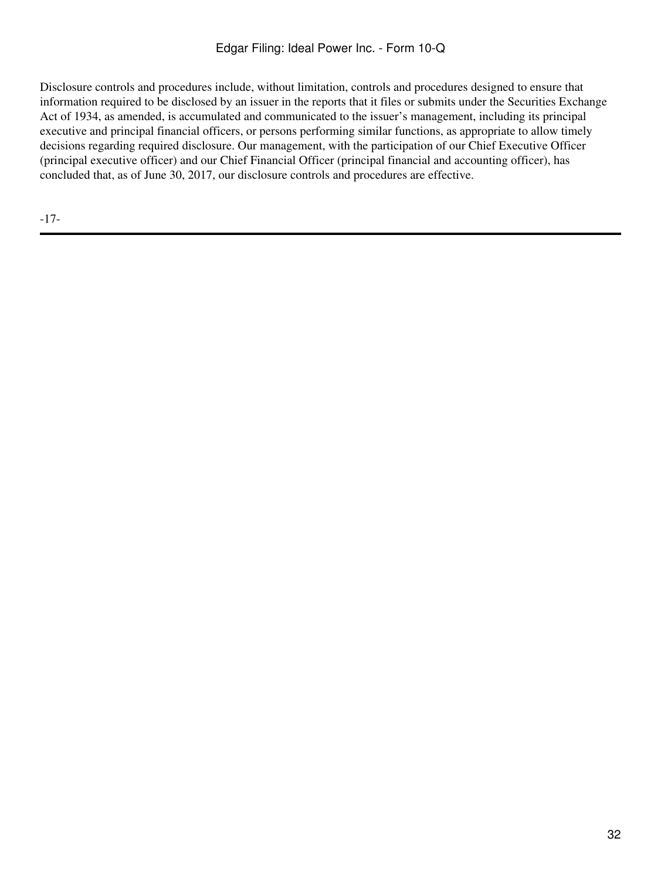Disclosure controls and procedures include, without limitation, controls and procedures designed to ensure that information required to be disclosed by an issuer in the reports that it files or submits under the Securities Exchange Act of 1934, as amended, is accumulated and communicated to the issuer's management, including its principal executive and principal financial officers, or persons performing similar functions, as appropriate to allow timely decisions regarding required disclosure. Our management, with the participation of our Chief Executive Officer (principal executive officer) and our Chief Financial Officer (principal financial and accounting officer), has concluded that, as of June 30, 2017, our disclosure controls and procedures are effective.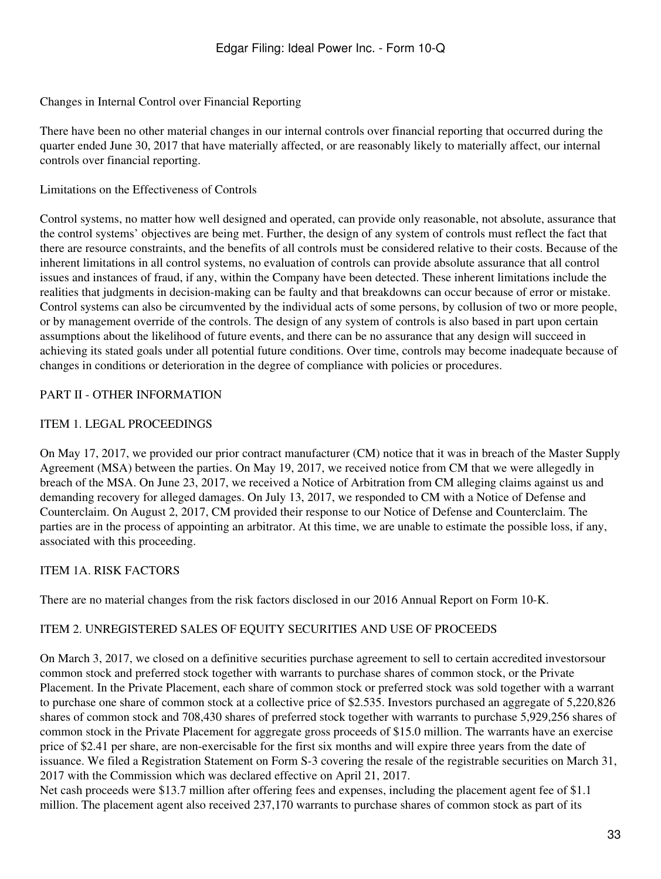#### Changes in Internal Control over Financial Reporting

There have been no other material changes in our internal controls over financial reporting that occurred during the quarter ended June 30, 2017 that have materially affected, or are reasonably likely to materially affect, our internal controls over financial reporting.

#### Limitations on the Effectiveness of Controls

Control systems, no matter how well designed and operated, can provide only reasonable, not absolute, assurance that the control systems' objectives are being met. Further, the design of any system of controls must reflect the fact that there are resource constraints, and the benefits of all controls must be considered relative to their costs. Because of the inherent limitations in all control systems, no evaluation of controls can provide absolute assurance that all control issues and instances of fraud, if any, within the Company have been detected. These inherent limitations include the realities that judgments in decision-making can be faulty and that breakdowns can occur because of error or mistake. Control systems can also be circumvented by the individual acts of some persons, by collusion of two or more people, or by management override of the controls. The design of any system of controls is also based in part upon certain assumptions about the likelihood of future events, and there can be no assurance that any design will succeed in achieving its stated goals under all potential future conditions. Over time, controls may become inadequate because of changes in conditions or deterioration in the degree of compliance with policies or procedures.

### <span id="page-32-0"></span>PART II - OTHER INFORMATION

### <span id="page-32-1"></span>ITEM 1. LEGAL PROCEEDINGS

On May 17, 2017, we provided our prior contract manufacturer (CM) notice that it was in breach of the Master Supply Agreement (MSA) between the parties. On May 19, 2017, we received notice from CM that we were allegedly in breach of the MSA. On June 23, 2017, we received a Notice of Arbitration from CM alleging claims against us and demanding recovery for alleged damages. On July 13, 2017, we responded to CM with a Notice of Defense and Counterclaim. On August 2, 2017, CM provided their response to our Notice of Defense and Counterclaim. The parties are in the process of appointing an arbitrator. At this time, we are unable to estimate the possible loss, if any, associated with this proceeding.

### <span id="page-32-2"></span>ITEM 1A. RISK FACTORS

There are no material changes from the risk factors disclosed in our 2016 Annual Report on Form 10-K.

### <span id="page-32-3"></span>ITEM 2. UNREGISTERED SALES OF EQUITY SECURITIES AND USE OF PROCEEDS

On March 3, 2017, we closed on a definitive securities purchase agreement to sell to certain accredited investorsour common stock and preferred stock together with warrants to purchase shares of common stock, or the Private Placement. In the Private Placement, each share of common stock or preferred stock was sold together with a warrant to purchase one share of common stock at a collective price of \$2.535. Investors purchased an aggregate of 5,220,826 shares of common stock and 708,430 shares of preferred stock together with warrants to purchase 5,929,256 shares of common stock in the Private Placement for aggregate gross proceeds of \$15.0 million. The warrants have an exercise price of \$2.41 per share, are non-exercisable for the first six months and will expire three years from the date of issuance. We filed a Registration Statement on Form S-3 covering the resale of the registrable securities on March 31, 2017 with the Commission which was declared effective on April 21, 2017.

Net cash proceeds were \$13.7 million after offering fees and expenses, including the placement agent fee of \$1.1 million. The placement agent also received 237,170 warrants to purchase shares of common stock as part of its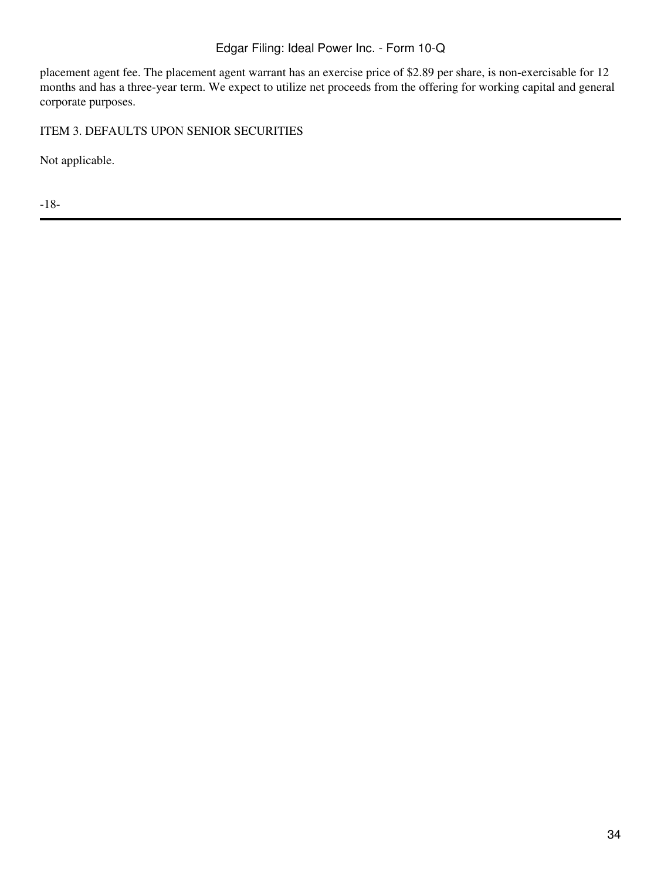# Edgar Filing: Ideal Power Inc. - Form 10-Q

placement agent fee. The placement agent warrant has an exercise price of \$2.89 per share, is non-exercisable for 12 months and has a three-year term. We expect to utilize net proceeds from the offering for working capital and general corporate purposes.

<span id="page-33-0"></span>ITEM 3. DEFAULTS UPON SENIOR SECURITIES

Not applicable.

-18-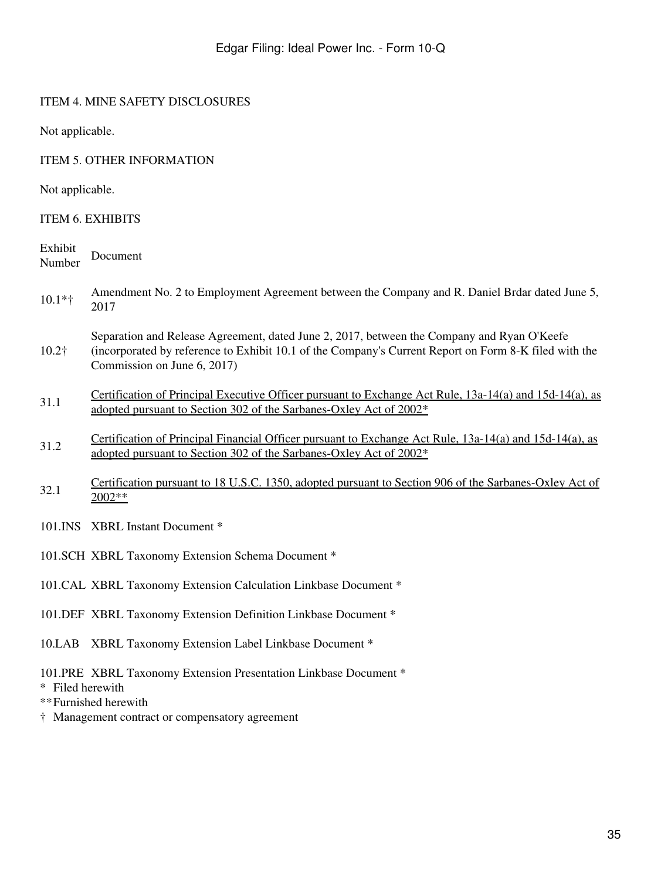## <span id="page-34-0"></span>ITEM 4. MINE SAFETY DISCLOSURES

Not applicable.

## <span id="page-34-1"></span>ITEM 5. OTHER INFORMATION

Not applicable.

## <span id="page-34-2"></span>ITEM 6. EXHIBITS

| Exhibit<br>Number | Document                                                                                                                                                                                                                           |
|-------------------|------------------------------------------------------------------------------------------------------------------------------------------------------------------------------------------------------------------------------------|
| $10.1*$ †         | Amendment No. 2 to Employment Agreement between the Company and R. Daniel Brdar dated June 5,<br>2017                                                                                                                              |
| $10.2\dagger$     | Separation and Release Agreement, dated June 2, 2017, between the Company and Ryan O'Keefe<br>(incorporated by reference to Exhibit 10.1 of the Company's Current Report on Form 8-K filed with the<br>Commission on June 6, 2017) |
| 31.1              | Certification of Principal Executive Officer pursuant to Exchange Act Rule, 13a-14(a) and 15d-14(a), as<br>adopted pursuant to Section 302 of the Sarbanes-Oxley Act of 2002 <sup>*</sup>                                          |
| 31.2              | Certification of Principal Financial Officer pursuant to Exchange Act Rule, 13a-14(a) and 15d-14(a), as<br>adopted pursuant to Section 302 of the Sarbanes-Oxley Act of 2002 <sup>*</sup>                                          |
| 32.1              | Certification pursuant to 18 U.S.C. 1350, adopted pursuant to Section 906 of the Sarbanes-Oxley Act of<br>$2002**$                                                                                                                 |
|                   | 101.INS XBRL Instant Document *                                                                                                                                                                                                    |
|                   | 101.SCH XBRL Taxonomy Extension Schema Document *                                                                                                                                                                                  |
|                   | 101.CAL XBRL Taxonomy Extension Calculation Linkbase Document *                                                                                                                                                                    |
|                   | 101.DEF XBRL Taxonomy Extension Definition Linkbase Document *                                                                                                                                                                     |
|                   | 10.LAB XBRL Taxonomy Extension Label Linkbase Document *                                                                                                                                                                           |

101.PRE XBRL Taxonomy Extension Presentation Linkbase Document \*

\* Filed herewith

- \*\*Furnished herewith
- † Management contract or compensatory agreement